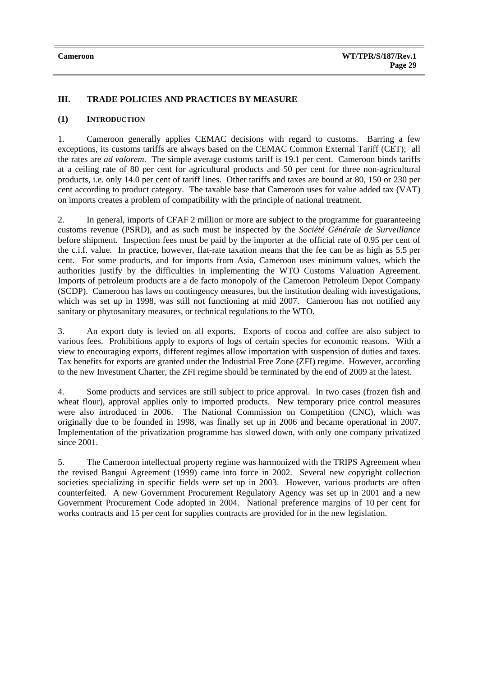# **III. TRADE POLICIES AND PRACTICES BY MEASURE**

## **(1) INTRODUCTION**

1. Cameroon generally applies CEMAC decisions with regard to customs. Barring a few exceptions, its customs tariffs are always based on the CEMAC Common External Tariff (CET); all the rates are *ad valorem*. The simple average customs tariff is 19.1 per cent. Cameroon binds tariffs at a ceiling rate of 80 per cent for agricultural products and 50 per cent for three non-agricultural products, i.e. only 14.0 per cent of tariff lines. Other tariffs and taxes are bound at 80, 150 or 230 per cent according to product category. The taxable base that Cameroon uses for value added tax (VAT) on imports creates a problem of compatibility with the principle of national treatment.

2. In general, imports of CFAF 2 million or more are subject to the programme for guaranteeing customs revenue (PSRD), and as such must be inspected by the *Société Générale de Surveillance* before shipment. Inspection fees must be paid by the importer at the official rate of 0.95 per cent of the c.i.f. value. In practice, however, flat-rate taxation means that the fee can be as high as 5.5 per cent. For some products, and for imports from Asia, Cameroon uses minimum values, which the authorities justify by the difficulties in implementing the WTO Customs Valuation Agreement. Imports of petroleum products are a de facto monopoly of the Cameroon Petroleum Depot Company (SCDP). Cameroon has laws on contingency measures, but the institution dealing with investigations, which was set up in 1998, was still not functioning at mid 2007. Cameroon has not notified any sanitary or phytosanitary measures, or technical regulations to the WTO.

3. An export duty is levied on all exports. Exports of cocoa and coffee are also subject to various fees. Prohibitions apply to exports of logs of certain species for economic reasons. With a view to encouraging exports, different regimes allow importation with suspension of duties and taxes. Tax benefits for exports are granted under the Industrial Free Zone (ZFI) regime. However, according to the new Investment Charter, the ZFI regime should be terminated by the end of 2009 at the latest.

4. Some products and services are still subject to price approval. In two cases (frozen fish and wheat flour), approval applies only to imported products. New temporary price control measures were also introduced in 2006. The National Commission on Competition (CNC), which was originally due to be founded in 1998, was finally set up in 2006 and became operational in 2007. Implementation of the privatization programme has slowed down, with only one company privatized since 2001.

5. The Cameroon intellectual property regime was harmonized with the TRIPS Agreement when the revised Bangui Agreement (1999) came into force in 2002. Several new copyright collection societies specializing in specific fields were set up in 2003. However, various products are often counterfeited. A new Government Procurement Regulatory Agency was set up in 2001 and a new Government Procurement Code adopted in 2004. National preference margins of 10 per cent for works contracts and 15 per cent for supplies contracts are provided for in the new legislation.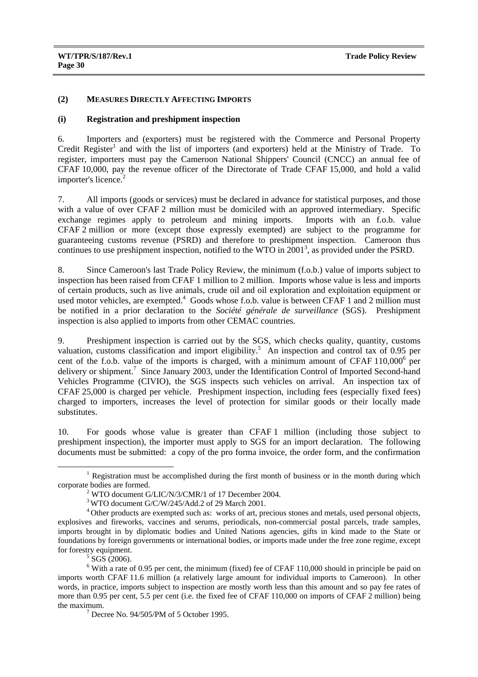## **(2) MEASURES DIRECTLY AFFECTING IMPORTS**

#### **(i) Registration and preshipment inspection**

6. Importers and (exporters) must be registered with the Commerce and Personal Property Credit Register<sup>1</sup> and with the list of importers (and exporters) held at the Ministry of Trade. To register, importers must pay the Cameroon National Shippers' Council (CNCC) an annual fee of CFAF 10,000, pay the revenue officer of the Directorate of Trade CFAF 15,000, and hold a valid importer's licence.<sup>2</sup>

7. All imports (goods or services) must be declared in advance for statistical purposes, and those with a value of over CFAF 2 million must be domiciled with an approved intermediary. Specific exchange regimes apply to petroleum and mining imports. Imports with an f.o.b. value CFAF 2 million or more (except those expressly exempted) are subject to the programme for guaranteeing customs revenue (PSRD) and therefore to preshipment inspection. Cameroon thus continues to use preshipment inspection, notified to the WTO in  $2001<sup>3</sup>$ , as provided under the PSRD.

8. Since Cameroon's last Trade Policy Review, the minimum (f.o.b.) value of imports subject to inspection has been raised from CFAF 1 million to 2 million. Imports whose value is less and imports of certain products, such as live animals, crude oil and oil exploration and exploitation equipment or used motor vehicles, are exempted.<sup>4</sup> Goods whose f.o.b. value is between CFAF 1 and 2 million must be notified in a prior declaration to the *Société générale de surveillance* (SGS). Preshipment inspection is also applied to imports from other CEMAC countries.

9. Preshipment inspection is carried out by the SGS, which checks quality, quantity, customs valuation, customs classification and import eligibility.<sup>5</sup> An inspection and control tax of 0.95 per cent of the f.o.b. value of the imports is charged, with a minimum amount of CFAF  $110,000^6$  per delivery or shipment.<sup>7</sup> Since January 2003, under the Identification Control of Imported Second-hand Vehicles Programme (CIVIO), the SGS inspects such vehicles on arrival. An inspection tax of CFAF 25,000 is charged per vehicle. Preshipment inspection, including fees (especially fixed fees) charged to importers, increases the level of protection for similar goods or their locally made substitutes.

10. For goods whose value is greater than CFAF 1 million (including those subject to preshipment inspection), the importer must apply to SGS for an import declaration. The following documents must be submitted: a copy of the pro forma invoice, the order form, and the confirmation

 $\frac{1}{1}$  $1$  Registration must be accomplished during the first month of business or in the month during which corporate bodies are formed.

 $2$  WTO document G/LIC/N/3/CMR/1 of 17 December 2004.

<sup>&</sup>lt;sup>3</sup> WTO document G/C/W/245/Add.2 of 29 March 2001.

<sup>4</sup> Other products are exempted such as: works of art, precious stones and metals, used personal objects, explosives and fireworks, vaccines and serums, periodicals, non-commercial postal parcels, trade samples, imports brought in by diplomatic bodies and United Nations agencies, gifts in kind made to the State or foundations by foreign governments or international bodies, or imports made under the free zone regime, except for forestry equipment.

 $5$  SGS (2006).

 $6$  With a rate of 0.95 per cent, the minimum (fixed) fee of CFAF 110,000 should in principle be paid on imports worth CFAF 11.6 million (a relatively large amount for individual imports to Cameroon). In other words, in practice, imports subject to inspection are mostly worth less than this amount and so pay fee rates of more than 0.95 per cent, 5.5 per cent (i.e. the fixed fee of CFAF 110,000 on imports of CFAF 2 million) being the maximum. 7

Decree No. 94/505/PM of 5 October 1995.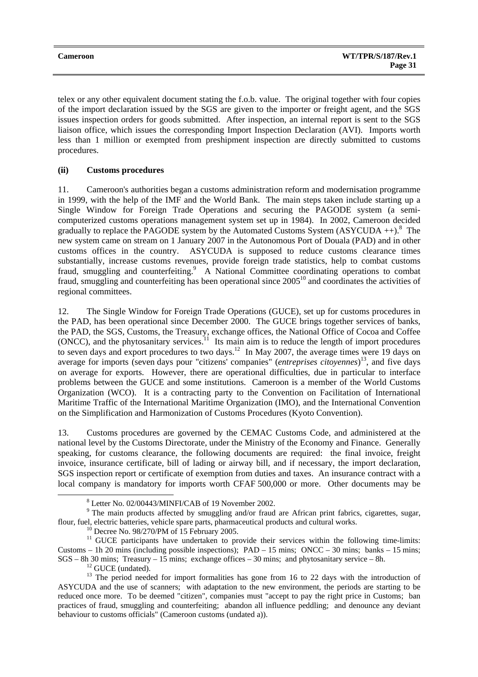| <b>Cameroon</b> | <b>WT/TPR/S/187/Rev.1</b> |
|-----------------|---------------------------|
|                 | Page 31                   |

telex or any other equivalent document stating the f.o.b. value. The original together with four copies of the import declaration issued by the SGS are given to the importer or freight agent, and the SGS issues inspection orders for goods submitted. After inspection, an internal report is sent to the SGS liaison office, which issues the corresponding Import Inspection Declaration (AVI). Imports worth less than 1 million or exempted from preshipment inspection are directly submitted to customs procedures.

# **(ii) Customs procedures**

11. Cameroon's authorities began a customs administration reform and modernisation programme in 1999, with the help of the IMF and the World Bank. The main steps taken include starting up a Single Window for Foreign Trade Operations and securing the PAGODE system (a semicomputerized customs operations management system set up in 1984). In 2002, Cameroon decided gradually to replace the PAGODE system by the Automated Customs System  $(ASYCUDA ++).$ <sup>8</sup> The new system came on stream on 1 January 2007 in the Autonomous Port of Douala (PAD) and in other customs offices in the country. ASYCUDA is supposed to reduce customs clearance times substantially, increase customs revenues, provide foreign trade statistics, help to combat customs fraud, smuggling and counterfeiting.<sup>9</sup> A National Committee coordinating operations to combat fraud, smuggling and counterfeiting has been operational since 200510 and coordinates the activities of regional committees.

12. The Single Window for Foreign Trade Operations (GUCE), set up for customs procedures in the PAD, has been operational since December 2000. The GUCE brings together services of banks, the PAD, the SGS, Customs, the Treasury, exchange offices, the National Office of Cocoa and Coffee (ONCC), and the phytosanitary services.<sup>11</sup> Its main aim is to reduce the length of import procedures to seven days and export procedures to two days.<sup>12</sup> In May 2007, the average times were 19 days on average for imports (seven days pour "citizens' companies" (*entreprises citoyennes*) 13, and five days on average for exports. However, there are operational difficulties, due in particular to interface problems between the GUCE and some institutions. Cameroon is a member of the World Customs Organization (WCO). It is a contracting party to the Convention on Facilitation of International Maritime Traffic of the International Maritime Organization (IMO), and the International Convention on the Simplification and Harmonization of Customs Procedures (Kyoto Convention).

13. Customs procedures are governed by the CEMAC Customs Code, and administered at the national level by the Customs Directorate, under the Ministry of the Economy and Finance. Generally speaking, for customs clearance, the following documents are required: the final invoice, freight invoice, insurance certificate, bill of lading or airway bill, and if necessary, the import declaration, SGS inspection report or certificate of exemption from duties and taxes. An insurance contract with a local company is mandatory for imports worth CFAF 500,000 or more. Other documents may be

 $\frac{1}{8}$ Letter No. 02/00443/MINFI/CAB of 19 November 2002.

<sup>&</sup>lt;sup>9</sup> The main products affected by smuggling and/or fraud are African print fabrics, cigarettes, sugar, flour, fuel, electric batteries, vehicle spare parts, pharmaceutical products and cultural works. 10 Decree No. 98/270/PM of 15 February 2005.

<sup>&</sup>lt;sup>11</sup> GUCE participants have undertaken to provide their services within the following time-limits: Customs – 1h 20 mins (including possible inspections);  $PAD - 15$  mins;  $ONCC - 30$  mins; banks – 15 mins; SGS – 8h 30 mins; Treasury – 15 mins; exchange offices – 30 mins; and phytosanitary service – 8h. 12 GUCE (undated).

<sup>&</sup>lt;sup>13</sup> The period needed for import formalities has gone from 16 to 22 days with the introduction of ASYCUDA and the use of scanners; with adaptation to the new environment, the periods are starting to be reduced once more. To be deemed "citizen", companies must "accept to pay the right price in Customs; ban practices of fraud, smuggling and counterfeiting; abandon all influence peddling; and denounce any deviant behaviour to customs officials" (Cameroon customs (undated a)).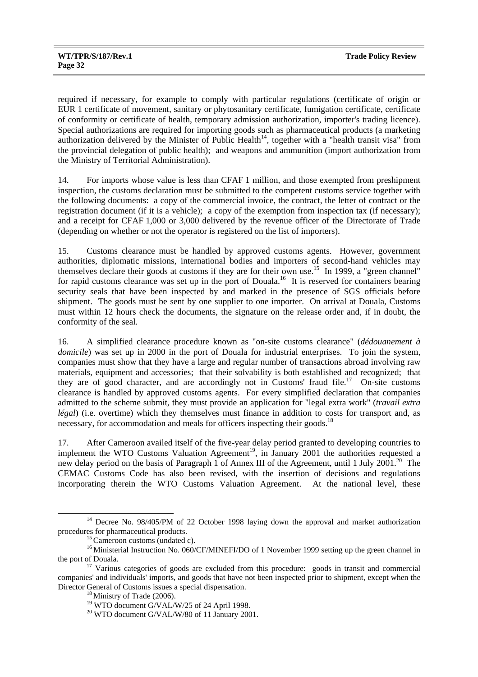required if necessary, for example to comply with particular regulations (certificate of origin or EUR 1 certificate of movement, sanitary or phytosanitary certificate, fumigation certificate, certificate of conformity or certificate of health, temporary admission authorization, importer's trading licence). Special authorizations are required for importing goods such as pharmaceutical products (a marketing authorization delivered by the Minister of Public Health<sup>14</sup>, together with a "health transit visa" from the provincial delegation of public health); and weapons and ammunition (import authorization from the Ministry of Territorial Administration).

14. For imports whose value is less than CFAF 1 million, and those exempted from preshipment inspection, the customs declaration must be submitted to the competent customs service together with the following documents: a copy of the commercial invoice, the contract, the letter of contract or the registration document (if it is a vehicle); a copy of the exemption from inspection tax (if necessary); and a receipt for CFAF 1,000 or 3,000 delivered by the revenue officer of the Directorate of Trade (depending on whether or not the operator is registered on the list of importers).

15. Customs clearance must be handled by approved customs agents. However, government authorities, diplomatic missions, international bodies and importers of second-hand vehicles may themselves declare their goods at customs if they are for their own use.15 In 1999, a "green channel" for rapid customs clearance was set up in the port of Douala.<sup>16</sup> It is reserved for containers bearing security seals that have been inspected by and marked in the presence of SGS officials before shipment. The goods must be sent by one supplier to one importer. On arrival at Douala, Customs must within 12 hours check the documents, the signature on the release order and, if in doubt, the conformity of the seal.

16. A simplified clearance procedure known as "on-site customs clearance" (*dédouanement à domicile*) was set up in 2000 in the port of Douala for industrial enterprises. To join the system, companies must show that they have a large and regular number of transactions abroad involving raw materials, equipment and accessories; that their solvability is both established and recognized; that they are of good character, and are accordingly not in Customs' fraud file.<sup>17</sup> On-site customs clearance is handled by approved customs agents. For every simplified declaration that companies admitted to the scheme submit, they must provide an application for "legal extra work" (*travail extra légal*) (i.e. overtime) which they themselves must finance in addition to costs for transport and, as necessary, for accommodation and meals for officers inspecting their goods.<sup>18</sup>

17. After Cameroon availed itself of the five-year delay period granted to developing countries to implement the WTO Customs Valuation Agreement<sup>19</sup>, in January 2001 the authorities requested a new delay period on the basis of Paragraph 1 of Annex III of the Agreement, until 1 July 2001.<sup>20</sup> The CEMAC Customs Code has also been revised, with the insertion of decisions and regulations incorporating therein the WTO Customs Valuation Agreement. At the national level, these

<sup>&</sup>lt;sup>14</sup> Decree No. 98/405/PM of 22 October 1998 laying down the approval and market authorization procedures for pharmaceutical products.<br><sup>15</sup> Cameroon customs (undated c).<br><sup>16</sup> Ministerial Instruction No. 060/CF/MINEFI/DO of 1 November 1999 setting up the green channel in

the port of Douala.<br><sup>17</sup> Various categories of goods are excluded from this procedure: goods in transit and commercial companies' and individuals' imports, and goods that have not been inspected prior to shipment, except when the Director General of Customs issues a special dispensation. 18 Ministry of Trade (2006).

<sup>&</sup>lt;sup>19</sup> WTO document G/VAL/W/25 of 24 April 1998.

<sup>20</sup> WTO document G/VAL/W/80 of 11 January 2001.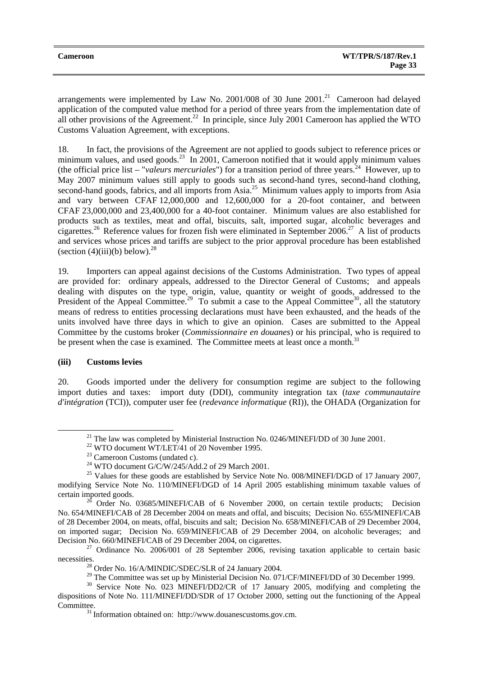| <b>Cameroon</b> | <b>WT/TPR/S/187/Rev.1</b> |
|-----------------|---------------------------|
|                 | Page 33                   |

arrangements were implemented by Law No. 2001/008 of 30 June  $2001<sup>21</sup>$  Cameroon had delayed application of the computed value method for a period of three years from the implementation date of all other provisions of the Agreement.<sup>22</sup> In principle, since July 2001 Cameroon has applied the WTO Customs Valuation Agreement, with exceptions.

18. In fact, the provisions of the Agreement are not applied to goods subject to reference prices or minimum values, and used goods.<sup>23</sup> In 2001, Cameroon notified that it would apply minimum values (the official price list – "*valeurs mercuriales*") for a transition period of three years.<sup>24</sup> However, up to May 2007 minimum values still apply to goods such as second-hand tyres, second-hand clothing, second-hand goods, fabrics, and all imports from Asia.<sup>25</sup> Minimum values apply to imports from Asia and vary between CFAF 12,000,000 and 12,600,000 for a 20-foot container, and between CFAF 23,000,000 and 23,400,000 for a 40-foot container. Minimum values are also established for products such as textiles, meat and offal, biscuits, salt, imported sugar, alcoholic beverages and cigarettes.<sup>26</sup> Reference values for frozen fish were eliminated in September 2006.<sup>27</sup> A list of products and services whose prices and tariffs are subject to the prior approval procedure has been established (section  $(4)(iii)(b)$  below).<sup>28</sup>

19. Importers can appeal against decisions of the Customs Administration. Two types of appeal are provided for: ordinary appeals, addressed to the Director General of Customs; and appeals dealing with disputes on the type, origin, value, quantity or weight of goods, addressed to the President of the Appeal Committee.<sup>29</sup> To submit a case to the Appeal Committee<sup>30</sup>, all the statutory means of redress to entities processing declarations must have been exhausted, and the heads of the units involved have three days in which to give an opinion. Cases are submitted to the Appeal Committee by the customs broker (*Commissionnaire en douanes*) or his principal, who is required to be present when the case is examined. The Committee meets at least once a month.<sup>31</sup>

## **(iii) Customs levies**

20. Goods imported under the delivery for consumption regime are subject to the following import duties and taxes: import duty (DDI), community integration tax (*taxe communautaire d'intégration* (TCI)), computer user fee (*redevance informatique* (RI)), the OHADA (Organization for

 $^{21}$  The law was completed by Ministerial Instruction No. 0246/MINEFI/DD of 30 June 2001.

<sup>&</sup>lt;sup>22</sup> WTO document WT/LET/41 of 20 November 1995.<br><sup>23</sup> Cameroon Customs (undated c).

<sup>&</sup>lt;sup>24</sup> WTO document G/C/W/245/Add.2 of 29 March 2001.

 $^{25}$  Values for these goods are established by Service Note No. 008/MINEFI/DGD of 17 January 2007, modifying Service Note No. 110/MINEFI/DGD of 14 April 2005 establishing minimum taxable values of certain imported goods.<br><sup>26</sup> Order No. 03685/MINEFI/CAB of 6 November 2000, on certain textile products; Decision

No. 654/MINEFI/CAB of 28 December 2004 on meats and offal, and biscuits; Decision No. 655/MINEFI/CAB of 28 December 2004, on meats, offal, biscuits and salt; Decision No. 658/MINEFI/CAB of 29 December 2004, on imported sugar; Decision No. 659/MINEFI/CAB of 29 December 2004, on alcoholic beverages; and Decision No. 660/MINEFI/CAB of 29 December 2004, on cigarettes.

 $27$  Ordinance No. 2006/001 of 28 September 2006, revising taxation applicable to certain basic necessities.<br><sup>28</sup> Order No. 16/A/MINDIC/SDEC/SLR of 24 January 2004.<br><sup>29</sup> The Committee was set up by Ministerial Decision No. 071/CF/MINEFI/DD of 30 December 1999.

<sup>&</sup>lt;sup>30</sup> Service Note No. 023 MINEFI/DD 2/CR of 17 January 2005, modifying and completing the dispositions of Note No. 111/MINEFI/DD/SDR of 17 October 2000, setting out the functioning of the Appeal Committee. 31 Information obtained on: http://www.douanescustoms.gov.cm.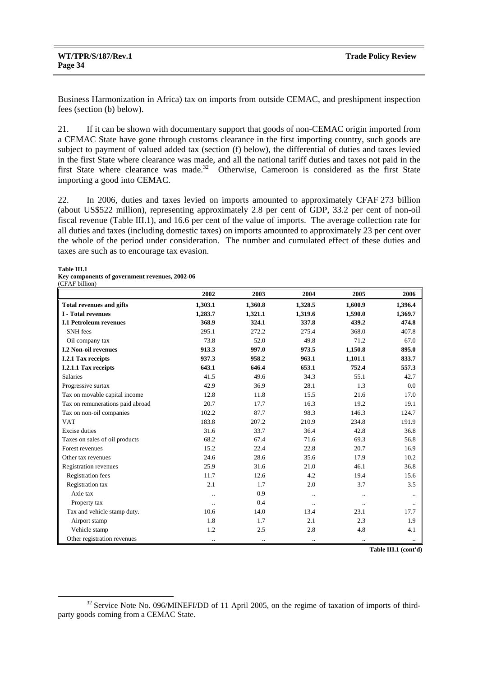Business Harmonization in Africa) tax on imports from outside CEMAC, and preshipment inspection fees (section (b) below).

21. If it can be shown with documentary support that goods of non-CEMAC origin imported from a CEMAC State have gone through customs clearance in the first importing country, such goods are subject to payment of valued added tax (section (f) below), the differential of duties and taxes levied in the first State where clearance was made, and all the national tariff duties and taxes not paid in the first State where clearance was made.<sup>32</sup> Otherwise, Cameroon is considered as the first State importing a good into CEMAC.

22. In 2006, duties and taxes levied on imports amounted to approximately CFAF 273 billion (about US\$522 million), representing approximately 2.8 per cent of GDP, 33.2 per cent of non-oil fiscal revenue (Table III.1), and 16.6 per cent of the value of imports. The average collection rate for all duties and taxes (including domestic taxes) on imports amounted to approximately 23 per cent over the whole of the period under consideration. The number and cumulated effect of these duties and taxes are such as to encourage tax evasion.

#### **Table III.1**

**Key components of government revenues, 2002-06**   $(CFAE$  billion)

|                                  | 2002      | 2003      | 2004      | 2005      | 2006    |
|----------------------------------|-----------|-----------|-----------|-----------|---------|
| <b>Total revenues and gifts</b>  | 1,303.1   | 1,360.8   | 1,328.5   | 1,600.9   | 1,396.4 |
| <b>I</b> - Total revenues        | 1,283.7   | 1,321.1   | 1,319.6   | 1,590.0   | 1,369.7 |
| <b>I.1 Petroleum revenues</b>    | 368.9     | 324.1     | 337.8     | 439.2     | 474.8   |
| <b>SNH</b> fees                  | 295.1     | 272.2     | 275.4     | 368.0     | 407.8   |
| Oil company tax                  | 73.8      | 52.0      | 49.8      | 71.2      | 67.0    |
| <b>I.2 Non-oil revenues</b>      | 913.3     | 997.0     | 973.5     | 1,150.8   | 895.0   |
| I.2.1 Tax receipts               | 937.3     | 958.2     | 963.1     | 1,101.1   | 833.7   |
| I.2.1.1 Tax receipts             | 643.1     | 646.4     | 653.1     | 752.4     | 557.3   |
| Salaries                         | 41.5      | 49.6      | 34.3      | 55.1      | 42.7    |
| Progressive surtax               | 42.9      | 36.9      | 28.1      | 1.3       | 0.0     |
| Tax on movable capital income    | 12.8      | 11.8      | 15.5      | 21.6      | 17.0    |
| Tax on remunerations paid abroad | 20.7      | 17.7      | 16.3      | 19.2      | 19.1    |
| Tax on non-oil companies         | 102.2     | 87.7      | 98.3      | 146.3     | 124.7   |
| <b>VAT</b>                       | 183.8     | 207.2     | 210.9     | 234.8     | 191.9   |
| <b>Excise</b> duties             | 31.6      | 33.7      | 36.4      | 42.8      | 36.8    |
| Taxes on sales of oil products   | 68.2      | 67.4      | 71.6      | 69.3      | 56.8    |
| Forest revenues                  | 15.2      | 22.4      | 22.8      | 20.7      | 16.9    |
| Other tax revenues               | 24.6      | 28.6      | 35.6      | 17.9      | 10.2    |
| <b>Registration revenues</b>     | 25.9      | 31.6      | 21.0      | 46.1      | 36.8    |
| <b>Registration fees</b>         | 11.7      | 12.6      | 4.2       | 19.4      | 15.6    |
| Registration tax                 | 2.1       | 1.7       | 2.0       | 3.7       | 3.5     |
| Axle tax                         | $\ddotsc$ | 0.9       | $\ddotsc$ | $\ddotsc$ |         |
| Property tax                     |           | 0.4       | $\ddotsc$ |           |         |
| Tax and vehicle stamp duty.      | 10.6      | 14.0      | 13.4      | 23.1      | 17.7    |
| Airport stamp                    | 1.8       | 1.7       | 2.1       | 2.3       | 1.9     |
| Vehicle stamp                    | 1.2       | 2.5       | 2.8       | 4.8       | 4.1     |
| Other registration revenues      | $\ddotsc$ | $\cdot$ . | $\cdot$ . | $\cdot$ . |         |

**Table III.1 (cont'd)**

<sup>&</sup>lt;sup>32</sup> Service Note No. 096/MINEFI/DD of 11 April 2005, on the regime of taxation of imports of thirdparty goods coming from a CEMAC State.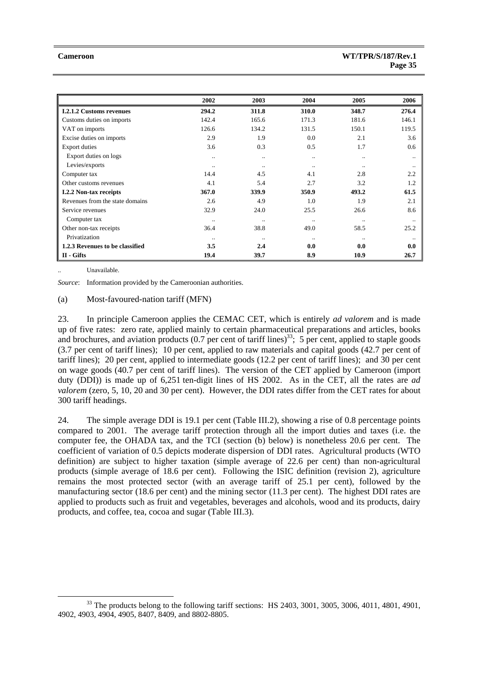|                                 | 2002      | 2003      | 2004          | 2005      | 2006  |
|---------------------------------|-----------|-----------|---------------|-----------|-------|
| <b>I.2.1.2 Customs revenues</b> | 294.2     | 311.8     | 310.0         | 348.7     | 276.4 |
| Customs duties on imports       | 142.4     | 165.6     | 171.3         | 181.6     | 146.1 |
| VAT on imports                  | 126.6     | 134.2     | 131.5         | 150.1     | 119.5 |
| Excise duties on imports        | 2.9       | 1.9       | 0.0           | 2.1       | 3.6   |
| <b>Export duties</b>            | 3.6       | 0.3       | 0.5           | 1.7       | 0.6   |
| Export duties on logs           |           | $\ddotsc$ | $\cdot \cdot$ | $\cdot$ . |       |
| Levies/exports                  |           | $\ddotsc$ | $\cdot\cdot$  | $\ddotsc$ |       |
| Computer tax                    | 14.4      | 4.5       | 4.1           | 2.8       | 2.2   |
| Other customs revenues          | 4.1       | 5.4       | 2.7           | 3.2       | 1.2   |
| <b>I.2.2 Non-tax receipts</b>   | 367.0     | 339.9     | 350.9         | 493.2     | 61.5  |
| Revenues from the state domains | 2.6       | 4.9       | 1.0           | 1.9       | 2.1   |
| Service revenues                | 32.9      | 24.0      | 25.5          | 26.6      | 8.6   |
| Computer tax                    |           | $\ddotsc$ |               | $\ddotsc$ |       |
| Other non-tax receipts          | 36.4      | 38.8      | 49.0          | 58.5      | 25.2  |
| Privatization                   | $\ddotsc$ | $\ddotsc$ | $\cdot \cdot$ | $\ddotsc$ |       |
| 1.2.3 Revenues to be classified | 3.5       | 2.4       | 0.0           | 0.0       | 0.0   |
| II - Gifts                      | 19.4      | 39.7      | 8.9           | 10.9      | 26.7  |

Unavailable.

*Source*: Information provided by the Cameroonian authorities.

#### (a) Most-favoured-nation tariff (MFN)

23. In principle Cameroon applies the CEMAC CET, which is entirely *ad valorem* and is made up of five rates: zero rate, applied mainly to certain pharmaceutical preparations and articles, books and brochures, and aviation products  $(0.7 \text{ per cent of tariff lines})^{33}$ ; 5 per cent, applied to staple goods (3.7 per cent of tariff lines); 10 per cent, applied to raw materials and capital goods (42.7 per cent of tariff lines); 20 per cent, applied to intermediate goods (12.2 per cent of tariff lines); and 30 per cent on wage goods (40.7 per cent of tariff lines). The version of the CET applied by Cameroon (import duty (DDI)) is made up of 6,251 ten-digit lines of HS 2002. As in the CET, all the rates are *ad valorem* (zero, 5, 10, 20 and 30 per cent). However, the DDI rates differ from the CET rates for about 300 tariff headings.

24. The simple average DDI is 19.1 per cent (Table III.2), showing a rise of 0.8 percentage points compared to 2001. The average tariff protection through all the import duties and taxes (i.e. the computer fee, the OHADA tax, and the TCI (section (b) below) is nonetheless 20.6 per cent. The coefficient of variation of 0.5 depicts moderate dispersion of DDI rates. Agricultural products (WTO definition) are subject to higher taxation (simple average of 22.6 per cent) than non-agricultural products (simple average of 18.6 per cent). Following the ISIC definition (revision 2), agriculture remains the most protected sector (with an average tariff of 25.1 per cent), followed by the manufacturing sector (18.6 per cent) and the mining sector (11.3 per cent). The highest DDI rates are applied to products such as fruit and vegetables, beverages and alcohols, wood and its products, dairy products, and coffee, tea, cocoa and sugar (Table III.3).

 $33$  The products belong to the following tariff sections: HS 2403, 3001, 3005, 3006, 4011, 4801, 4901, 4902, 4903, 4904, 4905, 8407, 8409, and 8802-8805.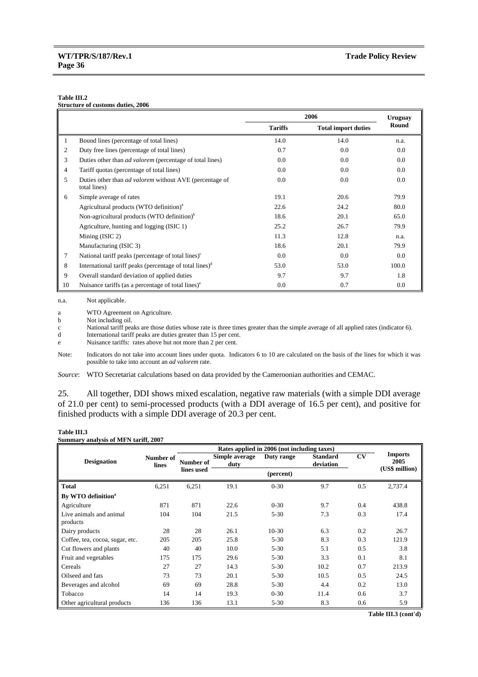#### **Table III.2**

|  | <b>Structure of customs duties, 2006</b> |  |
|--|------------------------------------------|--|
|  |                                          |  |

|    |                                                                                | 2006           |                            | <b>Uruguay</b> |
|----|--------------------------------------------------------------------------------|----------------|----------------------------|----------------|
|    |                                                                                | <b>Tariffs</b> | <b>Total import duties</b> | Round          |
|    | Bound lines (percentage of total lines)                                        | 14.0           | 14.0                       | n.a.           |
| 2  | Duty free lines (percentage of total lines)                                    | 0.7            | 0.0                        | 0.0            |
| 3  | Duties other than <i>ad valorem</i> (percentage of total lines)                | 0.0            | 0.0                        | 0.0            |
| 4  | Tariff quotas (percentage of total lines)                                      | 0.0            | $0.0^{\circ}$              | 0.0            |
| 5  | Duties other than <i>ad valorem</i> without AVE (percentage of<br>total lines) | 0.0            | 0.0                        | 0.0            |
| 6  | Simple average of rates                                                        | 19.1           | 20.6                       | 79.9           |
|    | Agricultural products (WTO definition) <sup>a</sup>                            | 22.6           | 24.2                       | 80.0           |
|    | Non-agricultural products (WTO definition) <sup>b</sup>                        | 18.6           | 20.1                       | 65.0           |
|    | Agriculture, hunting and logging (ISIC 1)                                      | 25.2           | 26.7                       | 79.9           |
|    | Mining $(ISIC 2)$                                                              | 11.3           | 12.8                       | n.a.           |
|    | Manufacturing (ISIC 3)                                                         | 18.6           | 20.1                       | 79.9           |
| 7  | National tariff peaks (percentage of total lines) $\epsilon$                   | 0.0            | 0.0                        | 0.0            |
| 8  | International tariff peaks (percentage of total lines) <sup>d</sup>            | 53.0           | 53.0                       | 100.0          |
| 9  | Overall standard deviation of applied duties                                   | 9.7            | 9.7                        | 1.8            |
| 10 | Nuisance tariffs (as a percentage of total lines) <sup>e</sup>                 | 0.0            | 0.7                        | $0.0\,$        |

n.a. Not applicable.

a WTO Agreement on Agriculture.<br>b Not including oil.

Not including oil.

c National tariff peaks are those duties whose rate is three times greater than the simple average of all applied rates (indicator 6).

d International tariff peaks are duties greater than 15 per cent.

e Nuisance tariffs: rates above but not more than 2 per cent.

Note: Indicators do not take into account lines under quota. Indicators 6 to 10 are calculated on the basis of the lines for which it was possible to take into account an *ad valorem* rate.

*Source*: WTO Secretariat calculations based on data provided by the Cameroonian authorities and CEMAC.

25. All together, DDI shows mixed escalation, negative raw materials (with a simple DDI average of 21.0 per cent) to semi-processed products (with a DDI average of 16.5 per cent), and positive for finished products with a simple DDI average of 20.3 per cent.

#### **Table III.3**

|  |  |  | Summary analysis of MFN tariff, 2007 |  |
|--|--|--|--------------------------------------|--|
|--|--|--|--------------------------------------|--|

| Rates applied in 2006 (not including taxes) |                    |            |                        |            |                              |     |                                          |
|---------------------------------------------|--------------------|------------|------------------------|------------|------------------------------|-----|------------------------------------------|
| <b>Designation</b>                          | Number of<br>lines | Number of  | Simple average<br>duty | Duty range | <b>Standard</b><br>deviation | CV  | <b>Imports</b><br>2005<br>(US\$ million) |
|                                             |                    | lines used |                        | (percent)  |                              |     |                                          |
| <b>Total</b>                                | 6,251              | 6,251      | 19.1                   | $0 - 30$   | 9.7                          | 0.5 | 2,737.4                                  |
| By WTO definition <sup>a</sup>              |                    |            |                        |            |                              |     |                                          |
| Agriculture                                 | 871                | 871        | 22.6                   | $0 - 30$   | 9.7                          | 0.4 | 438.8                                    |
| Live animals and animal<br>products         | 104                | 104        | 21.5                   | $5 - 30$   | 7.3                          | 0.3 | 17.4                                     |
| Dairy products                              | 28                 | 28         | 26.1                   | $10-30$    | 6.3                          | 0.2 | 26.7                                     |
| Coffee, tea, cocoa, sugar, etc.             | 205                | 205        | 25.8                   | $5 - 30$   | 8.3                          | 0.3 | 121.9                                    |
| Cut flowers and plants                      | 40                 | 40         | 10.0                   | $5 - 30$   | 5.1                          | 0.5 | 3.8                                      |
| Fruit and vegetables                        | 175                | 175        | 29.6                   | $5 - 30$   | 3.3                          | 0.1 | 8.1                                      |
| Cereals                                     | 27                 | 27         | 14.3                   | $5 - 30$   | 10.2                         | 0.7 | 213.9                                    |
| Oilseed and fats                            | 73                 | 73         | 20.1                   | $5 - 30$   | 10.5                         | 0.5 | 24.5                                     |
| Beverages and alcohol                       | 69                 | 69         | 28.8                   | $5 - 30$   | 4.4                          | 0.2 | 13.0                                     |
| Tobacco                                     | 14                 | 14         | 19.3                   | $0 - 30$   | 11.4                         | 0.6 | 3.7                                      |
| Other agricultural products                 | 136                | 136        | 13.1                   | $5 - 30$   | 8.3                          | 0.6 | 5.9                                      |

**Table III.3 (cont'd)**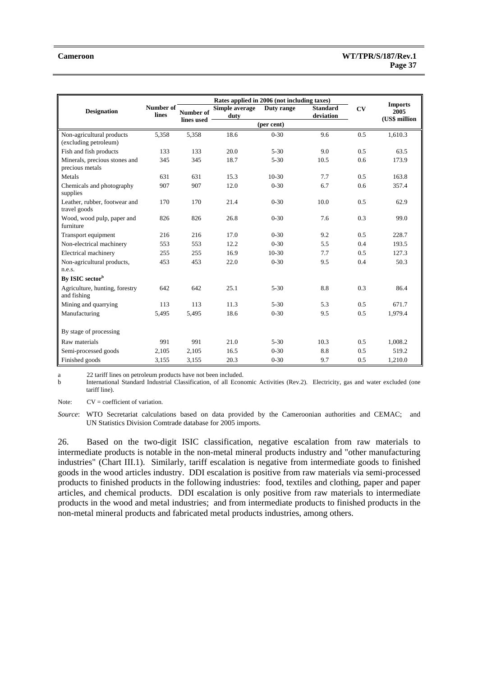|                                                    | Rates applied in 2006 (not including taxes) |            |                |            |                 |     |                        |
|----------------------------------------------------|---------------------------------------------|------------|----------------|------------|-----------------|-----|------------------------|
| <b>Designation</b>                                 | Number of                                   | Number of  | Simple average | Duty range | <b>Standard</b> | C V | <b>Imports</b><br>2005 |
|                                                    | lines                                       | lines used | duty           |            | deviation       |     | (US\$ million          |
|                                                    |                                             |            |                | (per cent) |                 |     |                        |
| Non-agricultural products<br>(excluding petroleum) | 5,358                                       | 5,358      | 18.6           | $0 - 30$   | 9.6             | 0.5 | 1,610.3                |
| Fish and fish products                             | 133                                         | 133        | 20.0           | $5 - 30$   | 9.0             | 0.5 | 63.5                   |
| Minerals, precious stones and<br>precious metals   | 345                                         | 345        | 18.7           | $5 - 30$   | 10.5            | 0.6 | 173.9                  |
| Metals                                             | 631                                         | 631        | 15.3           | $10-30$    | 7.7             | 0.5 | 163.8                  |
| Chemicals and photography<br>supplies              | 907                                         | 907        | 12.0           | $0 - 30$   | 6.7             | 0.6 | 357.4                  |
| Leather, rubber, footwear and<br>travel goods      | 170                                         | 170        | 21.4           | $0 - 30$   | 10.0            | 0.5 | 62.9                   |
| Wood, wood pulp, paper and<br>furniture            | 826                                         | 826        | 26.8           | $0 - 30$   | 7.6             | 0.3 | 99.0                   |
| Transport equipment                                | 216                                         | 216        | 17.0           | $0 - 30$   | 9.2             | 0.5 | 228.7                  |
| Non-electrical machinery                           | 553                                         | 553        | 12.2           | $0 - 30$   | 5.5             | 0.4 | 193.5                  |
| Electrical machinery                               | 255                                         | 255        | 16.9           | $10-30$    | 7.7             | 0.5 | 127.3                  |
| Non-agricultural products,                         | 453                                         | 453        | 22.0           | $0 - 30$   | 9.5             | 0.4 | 50.3                   |
| n.e.s.                                             |                                             |            |                |            |                 |     |                        |
| By ISIC sector <sup>b</sup>                        |                                             |            |                |            |                 |     |                        |
| Agriculture, hunting, forestry<br>and fishing      | 642                                         | 642        | 25.1           | $5 - 30$   | 8.8             | 0.3 | 86.4                   |
| Mining and quarrying                               | 113                                         | 113        | 11.3           | $5 - 30$   | 5.3             | 0.5 | 671.7                  |
| Manufacturing                                      | 5.495                                       | 5,495      | 18.6           | $0 - 30$   | 9.5             | 0.5 | 1,979.4                |
| By stage of processing                             |                                             |            |                |            |                 |     |                        |
| Raw materials                                      | 991                                         | 991        | 21.0           | $5 - 30$   | 10.3            | 0.5 | 1.008.2                |
| Semi-processed goods                               | 2,105                                       | 2,105      | 16.5           | $0 - 30$   | 8.8             | 0.5 | 519.2                  |
| Finished goods                                     | 3.155                                       | 3,155      | 20.3           | $0 - 30$   | 9.7             | 0.5 | 1,210.0                |

a 22 tariff lines on petroleum products have not been included.

b International Standard Industrial Classification, of all Economic Activities (Rev.2). Electricity, gas and water excluded (one tariff line).

Note:  $CV = coefficient of variation.$ 

*Source*: WTO Secretariat calculations based on data provided by the Cameroonian authorities and CEMAC; and UN Statistics Division Comtrade database for 2005 imports.

26. Based on the two-digit ISIC classification, negative escalation from raw materials to intermediate products is notable in the non-metal mineral products industry and "other manufacturing industries" (Chart III.1). Similarly, tariff escalation is negative from intermediate goods to finished goods in the wood articles industry. DDI escalation is positive from raw materials via semi-processed products to finished products in the following industries: food, textiles and clothing, paper and paper articles, and chemical products. DDI escalation is only positive from raw materials to intermediate products in the wood and metal industries; and from intermediate products to finished products in the non-metal mineral products and fabricated metal products industries, among others.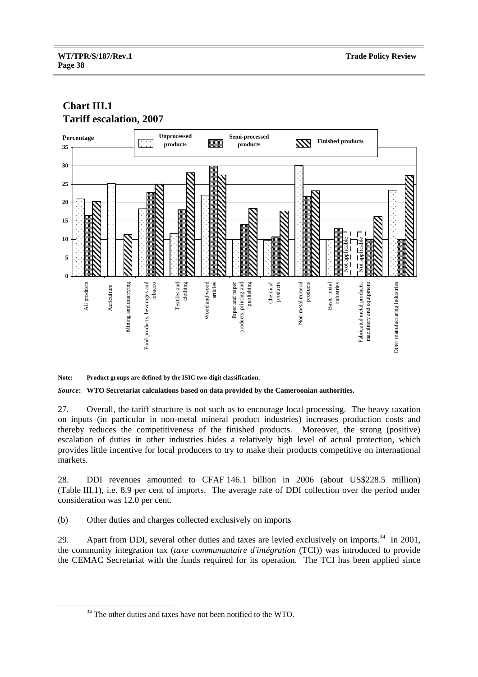# **Chart III.1 Tariff escalation, 2007**



**Note: Product groups are defined by the ISIC two-digit classification.** 

*Source***: WTO Secretariat calculations based on data provided by the Cameroonian authorities.** 

27. Overall, the tariff structure is not such as to encourage local processing. The heavy taxation on inputs (in particular in non-metal mineral product industries) increases production costs and thereby reduces the competitiveness of the finished products. Moreover, the strong (positive) escalation of duties in other industries hides a relatively high level of actual protection, which provides little incentive for local producers to try to make their products competitive on international markets.

28. DDI revenues amounted to CFAF 146.1 billion in 2006 (about US\$228.5 million) (Table III.1), i.e. 8.9 per cent of imports. The average rate of DDI collection over the period under consideration was 12.0 per cent.

(b) Other duties and charges collected exclusively on imports

29. Apart from DDI, several other duties and taxes are levied exclusively on imports.<sup>34</sup> In 2001, the community integration tax (*taxe communautaire d'intégration* (TCI)) was introduced to provide the CEMAC Secretariat with the funds required for its operation. The TCI has been applied since

<sup>&</sup>lt;sup>34</sup> The other duties and taxes have not been notified to the WTO.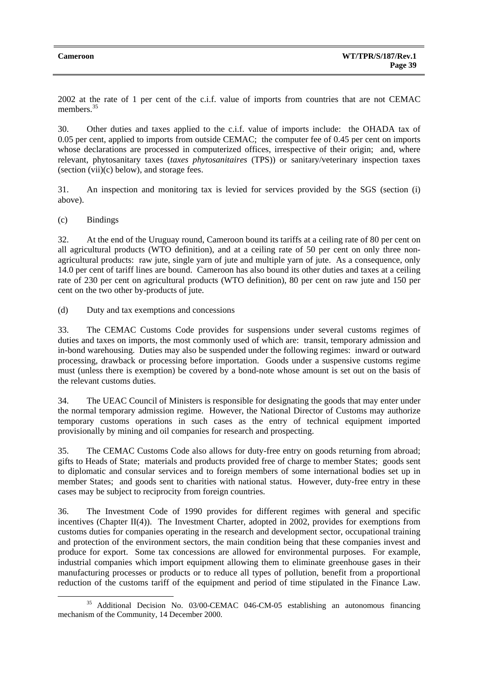2002 at the rate of 1 per cent of the c.i.f. value of imports from countries that are not CEMAC members<sup>35</sup>

30. Other duties and taxes applied to the c.i.f. value of imports include: the OHADA tax of 0.05 per cent, applied to imports from outside CEMAC; the computer fee of 0.45 per cent on imports whose declarations are processed in computerized offices, irrespective of their origin; and, where relevant, phytosanitary taxes (*taxes phytosanitaires* (TPS)) or sanitary/veterinary inspection taxes (section (vii)(c) below), and storage fees.

31. An inspection and monitoring tax is levied for services provided by the SGS (section (i) above).

(c) Bindings

32. At the end of the Uruguay round, Cameroon bound its tariffs at a ceiling rate of 80 per cent on all agricultural products (WTO definition), and at a ceiling rate of 50 per cent on only three nonagricultural products: raw jute, single yarn of jute and multiple yarn of jute. As a consequence, only 14.0 per cent of tariff lines are bound. Cameroon has also bound its other duties and taxes at a ceiling rate of 230 per cent on agricultural products (WTO definition), 80 per cent on raw jute and 150 per cent on the two other by-products of jute.

(d) Duty and tax exemptions and concessions

33. The CEMAC Customs Code provides for suspensions under several customs regimes of duties and taxes on imports, the most commonly used of which are: transit, temporary admission and in-bond warehousing. Duties may also be suspended under the following regimes: inward or outward processing, drawback or processing before importation. Goods under a suspensive customs regime must (unless there is exemption) be covered by a bond-note whose amount is set out on the basis of the relevant customs duties.

34. The UEAC Council of Ministers is responsible for designating the goods that may enter under the normal temporary admission regime. However, the National Director of Customs may authorize temporary customs operations in such cases as the entry of technical equipment imported provisionally by mining and oil companies for research and prospecting.

35. The CEMAC Customs Code also allows for duty-free entry on goods returning from abroad; gifts to Heads of State; materials and products provided free of charge to member States; goods sent to diplomatic and consular services and to foreign members of some international bodies set up in member States; and goods sent to charities with national status. However, duty-free entry in these cases may be subject to reciprocity from foreign countries.

36. The Investment Code of 1990 provides for different regimes with general and specific incentives (Chapter II(4)). The Investment Charter, adopted in 2002, provides for exemptions from customs duties for companies operating in the research and development sector, occupational training and protection of the environment sectors, the main condition being that these companies invest and produce for export. Some tax concessions are allowed for environmental purposes. For example, industrial companies which import equipment allowing them to eliminate greenhouse gases in their manufacturing processes or products or to reduce all types of pollution, benefit from a proportional reduction of the customs tariff of the equipment and period of time stipulated in the Finance Law.

 <sup>35</sup> Additional Decision No. 03/00-CEMAC 046-CM-05 establishing an autonomous financing mechanism of the Community, 14 December 2000.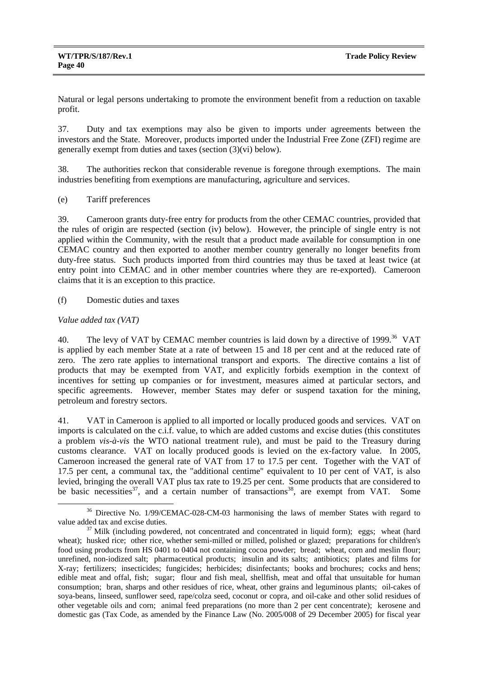Natural or legal persons undertaking to promote the environment benefit from a reduction on taxable profit.

37. Duty and tax exemptions may also be given to imports under agreements between the investors and the State. Moreover, products imported under the Industrial Free Zone (ZFI) regime are generally exempt from duties and taxes (section (3)(vi) below).

38. The authorities reckon that considerable revenue is foregone through exemptions. The main industries benefiting from exemptions are manufacturing, agriculture and services.

(e) Tariff preferences

39. Cameroon grants duty-free entry for products from the other CEMAC countries, provided that the rules of origin are respected (section (iv) below). However, the principle of single entry is not applied within the Community, with the result that a product made available for consumption in one CEMAC country and then exported to another member country generally no longer benefits from duty-free status. Such products imported from third countries may thus be taxed at least twice (at entry point into CEMAC and in other member countries where they are re-exported). Cameroon claims that it is an exception to this practice.

(f) Domestic duties and taxes

## *Value added tax (VAT)*

40. The levy of VAT by CEMAC member countries is laid down by a directive of 1999.<sup>36</sup> VAT is applied by each member State at a rate of between 15 and 18 per cent and at the reduced rate of zero. The zero rate applies to international transport and exports. The directive contains a list of products that may be exempted from VAT, and explicitly forbids exemption in the context of incentives for setting up companies or for investment, measures aimed at particular sectors, and specific agreements. However, member States may defer or suspend taxation for the mining, petroleum and forestry sectors.

41. VAT in Cameroon is applied to all imported or locally produced goods and services. VAT on imports is calculated on the c.i.f. value, to which are added customs and excise duties (this constitutes a problem *vis-à-vis* the WTO national treatment rule), and must be paid to the Treasury during customs clearance. VAT on locally produced goods is levied on the ex-factory value. In 2005, Cameroon increased the general rate of VAT from 17 to 17.5 per cent. Together with the VAT of 17.5 per cent, a communal tax, the "additional centime" equivalent to 10 per cent of VAT, is also levied, bringing the overall VAT plus tax rate to 19.25 per cent. Some products that are considered to be basic necessities<sup>37</sup>, and a certain number of transactions<sup>38</sup>, are exempt from VAT. Some

<sup>&</sup>lt;sup>36</sup> Directive No. 1/99/CEMAC-028-CM-03 harmonising the laws of member States with regard to value added tax and excise duties.<br><sup>37</sup> Milk (including powdered, not concentrated and concentrated in liquid form); eggs; wheat (hard

wheat); husked rice; other rice, whether semi-milled or milled, polished or glazed; preparations for children's food using products from HS 0401 to 0404 not containing cocoa powder; bread; wheat, corn and meslin flour; unrefined, non-iodized salt; pharmaceutical products; insulin and its salts; antibiotics; plates and films for X-ray; fertilizers; insecticides; fungicides; herbicides; disinfectants; books and brochures; cocks and hens; edible meat and offal, fish; sugar; flour and fish meal, shellfish, meat and offal that unsuitable for human consumption; bran, sharps and other residues of rice, wheat, other grains and leguminous plants; oil-cakes of soya-beans, linseed, sunflower seed, rape/colza seed, coconut or copra, and oil-cake and other solid residues of other vegetable oils and corn; animal feed preparations (no more than 2 per cent concentrate); kerosene and domestic gas (Tax Code, as amended by the Finance Law (No. 2005/008 of 29 December 2005) for fiscal year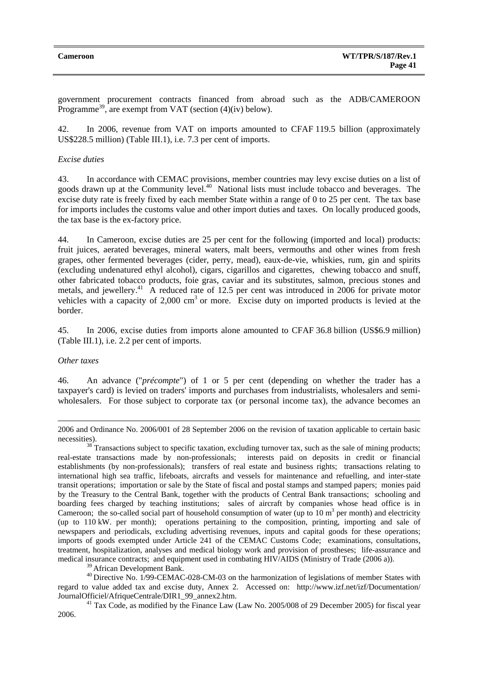government procurement contracts financed from abroad such as the ADB/CAMEROON Programme<sup>39</sup>, are exempt from VAT (section  $(4)(iv)$  below).

42. In 2006, revenue from VAT on imports amounted to CFAF 119.5 billion (approximately US\$228.5 million) (Table III.1), i.e. 7.3 per cent of imports.

#### *Excise duties*

43. In accordance with CEMAC provisions, member countries may levy excise duties on a list of goods drawn up at the Community level.<sup>40</sup> National lists must include tobacco and beverages. The excise duty rate is freely fixed by each member State within a range of 0 to 25 per cent. The tax base for imports includes the customs value and other import duties and taxes. On locally produced goods, the tax base is the ex-factory price.

44. In Cameroon, excise duties are 25 per cent for the following (imported and local) products: fruit juices, aerated beverages, mineral waters, malt beers, vermouths and other wines from fresh grapes, other fermented beverages (cider, perry, mead), eaux-de-vie, whiskies, rum, gin and spirits (excluding undenatured ethyl alcohol), cigars, cigarillos and cigarettes, chewing tobacco and snuff, other fabricated tobacco products, foie gras, caviar and its substitutes, salmon, precious stones and metals, and jewellery.<sup>41</sup> A reduced rate of 12.5 per cent was introduced in 2006 for private motor vehicles with a capacity of 2,000 cm<sup>3</sup> or more. Excise duty on imported products is levied at the border.

45. In 2006, excise duties from imports alone amounted to CFAF 36.8 billion (US\$6.9 million) (Table III.1), i.e. 2.2 per cent of imports.

#### *Other taxes*

l

46. An advance ("*précompte*") of 1 or 5 per cent (depending on whether the trader has a taxpayer's card) is levied on traders' imports and purchases from industrialists, wholesalers and semiwholesalers. For those subject to corporate tax (or personal income tax), the advance becomes an

2006 and Ordinance No. 2006/001 of 28 September 2006 on the revision of taxation applicable to certain basic

 $\frac{38}{38}$  Transactions subject to specific taxation, excluding turnover tax, such as the sale of mining products; real-estate transactions made by non-professionals; interests paid on deposits in credit or financial establishments (by non-professionals); transfers of real estate and business rights; transactions relating to international high sea traffic, lifeboats, aircrafts and vessels for maintenance and refuelling, and inter-state transit operations; importation or sale by the State of fiscal and postal stamps and stamped papers; monies paid by the Treasury to the Central Bank, together with the products of Central Bank transactions; schooling and boarding fees charged by teaching institutions; sales of aircraft by companies whose head office is in Cameroon; the so-called social part of household consumption of water (up to  $10 \text{ m}^3$  per month) and electricity (up to 110 kW. per month); operations pertaining to the composition, printing, importing and sale of newspapers and periodicals, excluding advertising revenues, inputs and capital goods for these operations; imports of goods exempted under Article 241 of the CEMAC Customs Code; examinations, consultations, treatment, hospitalization, analyses and medical biology work and provision of prostheses; life-assurance and medical insurance contracts; and equipment used in combating HIV/AIDS (Ministry of Trade (2006 a)).<br><sup>39</sup> African Development Bank.

 $30$  Directive No. 1/99-CEMAC-028-CM-03 on the harmonization of legislations of member States with regard to value added tax and excise duty, Annex 2. Accessed on: http://www.izf.net/izf/Documentation/ JournalOfficiel/AfriqueCentrale/DIR1\_99\_annex2.htm. 41 Tax Code, as modified by the Finance Law (Law No. 2005/008 of 29 December 2005) for fiscal year

2006.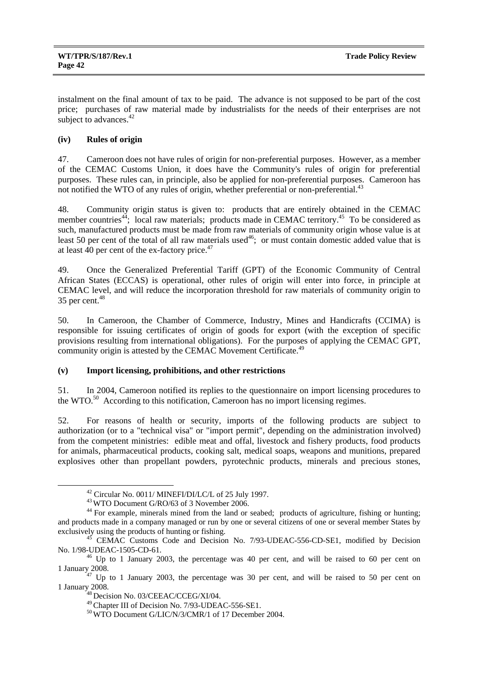instalment on the final amount of tax to be paid. The advance is not supposed to be part of the cost price; purchases of raw material made by industrialists for the needs of their enterprises are not subject to advances.<sup>42</sup>

# **(iv) Rules of origin**

47. Cameroon does not have rules of origin for non-preferential purposes. However, as a member of the CEMAC Customs Union, it does have the Community's rules of origin for preferential purposes. These rules can, in principle, also be applied for non-preferential purposes. Cameroon has not notified the WTO of any rules of origin, whether preferential or non-preferential.<sup>43</sup>

48. Community origin status is given to: products that are entirely obtained in the CEMAC member countries<sup>44</sup>; local raw materials; products made in CEMAC territory.<sup>45</sup> To be considered as such, manufactured products must be made from raw materials of community origin whose value is at least 50 per cent of the total of all raw materials used<sup>46</sup>; or must contain domestic added value that is at least 40 per cent of the ex-factory price. $47$ 

49. Once the Generalized Preferential Tariff (GPT) of the Economic Community of Central African States (ECCAS) is operational, other rules of origin will enter into force, in principle at CEMAC level, and will reduce the incorporation threshold for raw materials of community origin to  $35$  per cent.<sup>48</sup>

50. In Cameroon, the Chamber of Commerce, Industry, Mines and Handicrafts (CCIMA) is responsible for issuing certificates of origin of goods for export (with the exception of specific provisions resulting from international obligations). For the purposes of applying the CEMAC GPT, community origin is attested by the CEMAC Movement Certificate.<sup>49</sup>

## **(v) Import licensing, prohibitions, and other restrictions**

51. In 2004, Cameroon notified its replies to the questionnaire on import licensing procedures to the WTO.<sup>50</sup> According to this notification, Cameroon has no import licensing regimes.

52. For reasons of health or security, imports of the following products are subject to authorization (or to a "technical visa" or "import permit", depending on the administration involved) from the competent ministries: edible meat and offal, livestock and fishery products, food products for animals, pharmaceutical products, cooking salt, medical soaps, weapons and munitions, prepared explosives other than propellant powders, pyrotechnic products, minerals and precious stones,

 $^{42}$  Circular No. 0011/ MINEFI/DI/LC/L of 25 July 1997.<br> $^{43}$  WTO Document G/RO/63 of 3 November 2006.

<sup>&</sup>lt;sup>44</sup> For example, minerals mined from the land or seabed; products of agriculture, fishing or hunting; and products made in a company managed or run by one or several citizens of one or several member States by exclusively using the products of hunting or fishing.<br><sup>45</sup> CEMAC Customs Code and Decision No. 7/93-UDEAC-556-CD-SE1, modified by Decision

No. 1/98-UDEAC-1505-CD-61. 46 Up to 1 January 2003, the percentage was 40 per cent, and will be raised to 60 per cent on

<sup>1</sup> January 2008. 47 Up to 1 January 2003, the percentage was 30 per cent, and will be raised to 50 per cent on 1 January 2008.<br><sup>48</sup> Decision No. 03/CEEAC/CCEG/XI/04.<br><sup>49</sup> Chapter III of Decision No. 7/93-UDEAC-556-SE1.

<sup>&</sup>lt;sup>50</sup> WTO Document G/LIC/N/3/CMR/1 of 17 December 2004.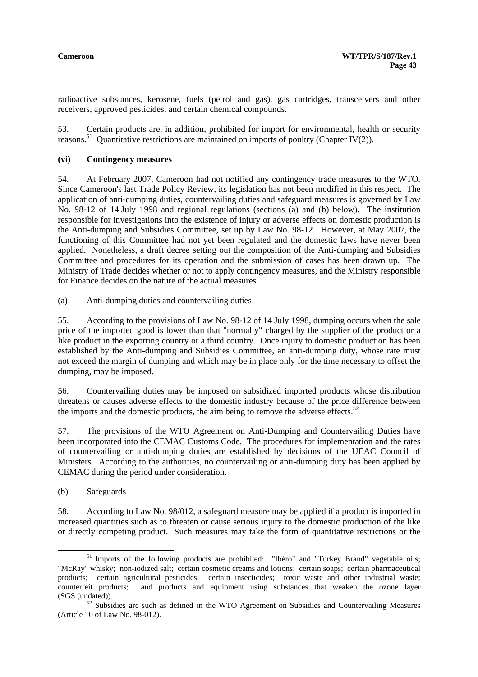radioactive substances, kerosene, fuels (petrol and gas), gas cartridges, transceivers and other receivers, approved pesticides, and certain chemical compounds.

53. Certain products are, in addition, prohibited for import for environmental, health or security reasons.<sup>51</sup> Quantitative restrictions are maintained on imports of poultry (Chapter IV(2)).

## **(vi) Contingency measures**

54. At February 2007, Cameroon had not notified any contingency trade measures to the WTO. Since Cameroon's last Trade Policy Review, its legislation has not been modified in this respect. The application of anti-dumping duties, countervailing duties and safeguard measures is governed by Law No. 98-12 of 14 July 1998 and regional regulations (sections (a) and (b) below). The institution responsible for investigations into the existence of injury or adverse effects on domestic production is the Anti-dumping and Subsidies Committee, set up by Law No. 98-12. However, at May 2007, the functioning of this Committee had not yet been regulated and the domestic laws have never been applied. Nonetheless, a draft decree setting out the composition of the Anti-dumping and Subsidies Committee and procedures for its operation and the submission of cases has been drawn up. The Ministry of Trade decides whether or not to apply contingency measures, and the Ministry responsible for Finance decides on the nature of the actual measures.

(a) Anti-dumping duties and countervailing duties

55. According to the provisions of Law No. 98-12 of 14 July 1998, dumping occurs when the sale price of the imported good is lower than that "normally" charged by the supplier of the product or a like product in the exporting country or a third country. Once injury to domestic production has been established by the Anti-dumping and Subsidies Committee, an anti-dumping duty, whose rate must not exceed the margin of dumping and which may be in place only for the time necessary to offset the dumping, may be imposed.

56. Countervailing duties may be imposed on subsidized imported products whose distribution threatens or causes adverse effects to the domestic industry because of the price difference between the imports and the domestic products, the aim being to remove the adverse effects.<sup>52</sup>

57. The provisions of the WTO Agreement on Anti-Dumping and Countervailing Duties have been incorporated into the CEMAC Customs Code. The procedures for implementation and the rates of countervailing or anti-dumping duties are established by decisions of the UEAC Council of Ministers. According to the authorities, no countervailing or anti-dumping duty has been applied by CEMAC during the period under consideration.

(b) Safeguards

58. According to Law No. 98/012, a safeguard measure may be applied if a product is imported in increased quantities such as to threaten or cause serious injury to the domestic production of the like or directly competing product. Such measures may take the form of quantitative restrictions or the

<sup>&</sup>lt;sup>51</sup> Imports of the following products are prohibited: "Ibéro" and "Turkey Brand" vegetable oils; "McRay" whisky; non-iodized salt; certain cosmetic creams and lotions; certain soaps; certain pharmaceutical products; certain agricultural pesticides; certain insecticides; toxic waste and other industrial waste; counterfeit products; and products and equipment using substances that weaken the ozone layer (SGS (undated)).

 $52$  Subsidies are such as defined in the WTO Agreement on Subsidies and Countervailing Measures (Article 10 of Law No. 98-012).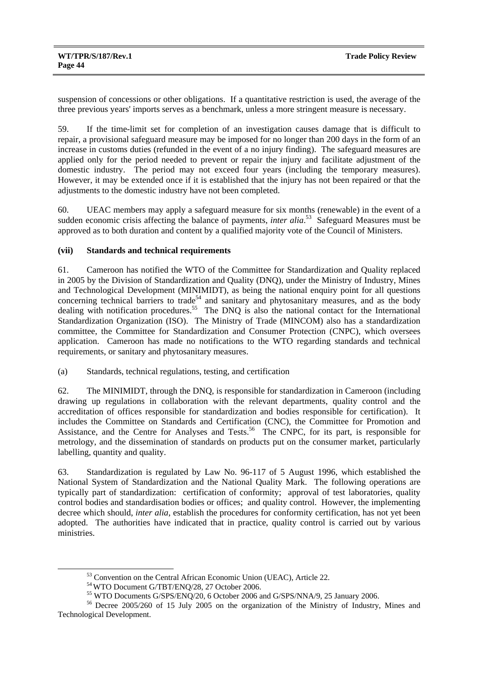suspension of concessions or other obligations. If a quantitative restriction is used, the average of the three previous years' imports serves as a benchmark, unless a more stringent measure is necessary.

59. If the time-limit set for completion of an investigation causes damage that is difficult to repair, a provisional safeguard measure may be imposed for no longer than 200 days in the form of an increase in customs duties (refunded in the event of a no injury finding). The safeguard measures are applied only for the period needed to prevent or repair the injury and facilitate adjustment of the domestic industry. The period may not exceed four years (including the temporary measures). However, it may be extended once if it is established that the injury has not been repaired or that the adjustments to the domestic industry have not been completed.

60. UEAC members may apply a safeguard measure for six months (renewable) in the event of a sudden economic crisis affecting the balance of payments, *inter alia*.<sup>53</sup> Safeguard Measures must be approved as to both duration and content by a qualified majority vote of the Council of Ministers.

# **(vii) Standards and technical requirements**

61. Cameroon has notified the WTO of the Committee for Standardization and Quality replaced in 2005 by the Division of Standardization and Quality (DNQ), under the Ministry of Industry, Mines and Technological Development (MINIMIDT), as being the national enquiry point for all questions concerning technical barriers to trade<sup>54</sup> and sanitary and phytosanitary measures, and as the body dealing with notification procedures.<sup>55</sup> The DNQ is also the national contact for the International Standardization Organization (ISO). The Ministry of Trade (MINCOM) also has a standardization committee, the Committee for Standardization and Consumer Protection (CNPC), which oversees application. Cameroon has made no notifications to the WTO regarding standards and technical requirements, or sanitary and phytosanitary measures.

(a) Standards, technical regulations, testing, and certification

62. The MINIMIDT, through the DNQ, is responsible for standardization in Cameroon (including drawing up regulations in collaboration with the relevant departments, quality control and the accreditation of offices responsible for standardization and bodies responsible for certification). It includes the Committee on Standards and Certification (CNC), the Committee for Promotion and Assistance, and the Centre for Analyses and Tests.<sup>56</sup> The CNPC, for its part, is responsible for metrology, and the dissemination of standards on products put on the consumer market, particularly labelling, quantity and quality.

63. Standardization is regulated by Law No. 96-117 of 5 August 1996, which established the National System of Standardization and the National Quality Mark. The following operations are typically part of standardization: certification of conformity; approval of test laboratories, quality control bodies and standardisation bodies or offices; and quality control. However, the implementing decree which should, *inter alia*, establish the procedures for conformity certification, has not yet been adopted. The authorities have indicated that in practice, quality control is carried out by various ministries.

 $^{53}$  Convention on the Central African Economic Union (UEAC), Article 22.<br> $^{54}$  WTO Document G/TBT/ENQ/28, 27 October 2006.

<sup>&</sup>lt;sup>55</sup> WTO Documents G/SPS/ENQ/20, 6 October 2006 and G/SPS/NNA/9, 25 January 2006.<br><sup>56</sup> Decree 2005/260 of 15 July 2005 on the organization of the Ministry of Industry, Mines and Technological Development.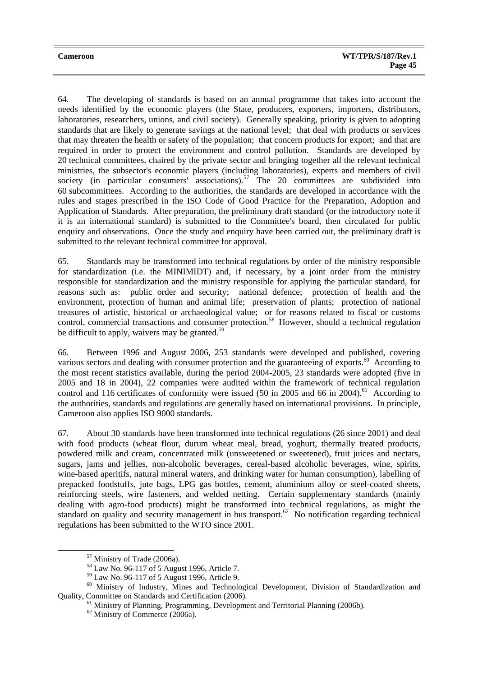64. The developing of standards is based on an annual programme that takes into account the needs identified by the economic players (the State, producers, exporters, importers, distributors, laboratories, researchers, unions, and civil society). Generally speaking, priority is given to adopting standards that are likely to generate savings at the national level; that deal with products or services that may threaten the health or safety of the population; that concern products for export; and that are required in order to protect the environment and control pollution. Standards are developed by 20 technical committees, chaired by the private sector and bringing together all the relevant technical ministries, the subsector's economic players (including laboratories), experts and members of civil society (in particular consumers' associations).<sup>57</sup> The 20 committees are subdivided into 60 subcommittees. According to the authorities, the standards are developed in accordance with the rules and stages prescribed in the ISO Code of Good Practice for the Preparation, Adoption and Application of Standards. After preparation, the preliminary draft standard (or the introductory note if it is an international standard) is submitted to the Committee's board, then circulated for public enquiry and observations. Once the study and enquiry have been carried out, the preliminary draft is submitted to the relevant technical committee for approval.

65. Standards may be transformed into technical regulations by order of the ministry responsible for standardization (i.e. the MINIMIDT) and, if necessary, by a joint order from the ministry responsible for standardization and the ministry responsible for applying the particular standard, for reasons such as: public order and security; national defence; protection of health and the environment, protection of human and animal life; preservation of plants; protection of national treasures of artistic, historical or archaeological value; or for reasons related to fiscal or customs control, commercial transactions and consumer protection.<sup>58</sup> However, should a technical regulation be difficult to apply, waivers may be granted.<sup>59</sup>

66. Between 1996 and August 2006, 253 standards were developed and published, covering various sectors and dealing with consumer protection and the guaranteeing of exports.<sup>60</sup> According to the most recent statistics available, during the period 2004-2005, 23 standards were adopted (five in 2005 and 18 in 2004), 22 companies were audited within the framework of technical regulation control and 116 certificates of conformity were issued (50 in 2005 and 66 in 2004).<sup>61</sup> According to the authorities, standards and regulations are generally based on international provisions. In principle, Cameroon also applies ISO 9000 standards.

67. About 30 standards have been transformed into technical regulations (26 since 2001) and deal with food products (wheat flour, durum wheat meal, bread, yoghurt, thermally treated products, powdered milk and cream, concentrated milk (unsweetened or sweetened), fruit juices and nectars, sugars, jams and jellies, non-alcoholic beverages, cereal-based alcoholic beverages, wine, spirits, wine-based aperitifs, natural mineral waters, and drinking water for human consumption), labelling of prepacked foodstuffs, jute bags, LPG gas bottles, cement, aluminium alloy or steel-coated sheets, reinforcing steels, wire fasteners, and welded netting. Certain supplementary standards (mainly dealing with agro-food products) might be transformed into technical regulations, as might the standard on quality and security management in bus transport.<sup>62</sup> No notification regarding technical regulations has been submitted to the WTO since 2001.

 <sup>57</sup> Ministry of Trade (2006a).

<sup>58</sup> Law No. 96-117 of 5 August 1996, Article 7.

<sup>59</sup> Law No. 96-117 of 5 August 1996, Article 9.

<sup>&</sup>lt;sup>60</sup> Ministry of Industry, Mines and Technological Development, Division of Standardization and Quality, Committee on Standards and Certification (2006).<br><sup>61</sup> Ministry of Planning, Programming, Development and Territorial Planning (2006b).

<sup>62</sup> Ministry of Commerce (2006a).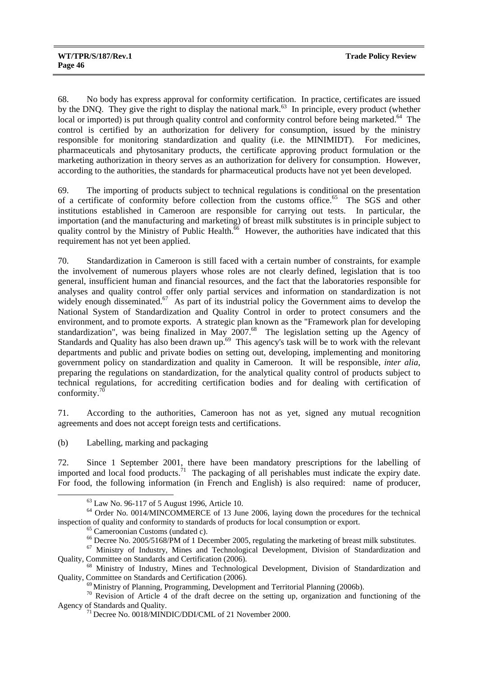68. No body has express approval for conformity certification. In practice, certificates are issued by the DNO. They give the right to display the national mark.<sup>63</sup> In principle, every product (whether local or imported) is put through quality control and conformity control before being marketed.<sup>64</sup> The control is certified by an authorization for delivery for consumption, issued by the ministry responsible for monitoring standardization and quality (i.e. the MINIMIDT). For medicines, pharmaceuticals and phytosanitary products, the certificate approving product formulation or the marketing authorization in theory serves as an authorization for delivery for consumption. However, according to the authorities, the standards for pharmaceutical products have not yet been developed.

69. The importing of products subject to technical regulations is conditional on the presentation of a certificate of conformity before collection from the customs office.<sup>65</sup> The SGS and other institutions established in Cameroon are responsible for carrying out tests. In particular, the importation (and the manufacturing and marketing) of breast milk substitutes is in principle subject to quality control by the Ministry of Public Health.<sup>66</sup> However, the authorities have indicated that this requirement has not yet been applied.

70. Standardization in Cameroon is still faced with a certain number of constraints, for example the involvement of numerous players whose roles are not clearly defined, legislation that is too general, insufficient human and financial resources, and the fact that the laboratories responsible for analyses and quality control offer only partial services and information on standardization is not widely enough disseminated.<sup>67</sup> As part of its industrial policy the Government aims to develop the National System of Standardization and Quality Control in order to protect consumers and the environment, and to promote exports. A strategic plan known as the "Framework plan for developing standardization", was being finalized in May  $2007<sup>68</sup>$  The legislation setting up the Agency of Standards and Quality has also been drawn up.<sup>69</sup> This agency's task will be to work with the relevant departments and public and private bodies on setting out, developing, implementing and monitoring government policy on standardization and quality in Cameroon. It will be responsible, *inter alia*, preparing the regulations on standardization, for the analytical quality control of products subject to technical regulations, for accrediting certification bodies and for dealing with certification of conformity. $70$ 

71. According to the authorities, Cameroon has not as yet, signed any mutual recognition agreements and does not accept foreign tests and certifications.

(b) Labelling, marking and packaging

72. Since 1 September 2001, there have been mandatory prescriptions for the labelling of imported and local food products.<sup> $71$ </sup> The packaging of all perishables must indicate the expiry date. For food, the following information (in French and English) is also required: name of producer,

 <sup>63</sup> Law No. 96-117 of 5 August 1996, Article 10.

<sup>&</sup>lt;sup>64</sup> Order No. 0014/MINCOMMERCE of 13 June 2006, laying down the procedures for the technical inspection of quality and conformity to standards of products for local consumption or export.<br>
<sup>65</sup> Cameroonian Customs (undated c).<br>
<sup>66</sup> Decree No. 2005/5168/PM of 1 December 2005, regulating the marketing of breast mil

 $^{67}$  Ministry of Industry, Mines and Technological Development, Division of Standardization and Quality, Committee on Standards and Certification (2006).

<sup>&</sup>lt;sup>68</sup> Ministry of Industry, Mines and Technological Development, Division of Standardization and Quality, Committee on Standards and Certification (2006).<br><sup>69</sup> Ministry of Planning, Programming, Development and Territorial Planning (2006b).<br><sup>70</sup> Revision of Article 4 of the draft decree on the setting up, organizatio

Agency of Standards and Quality.<br><sup>71</sup> Decree No. 0018/MINDIC/DDI/CML of 21 November 2000.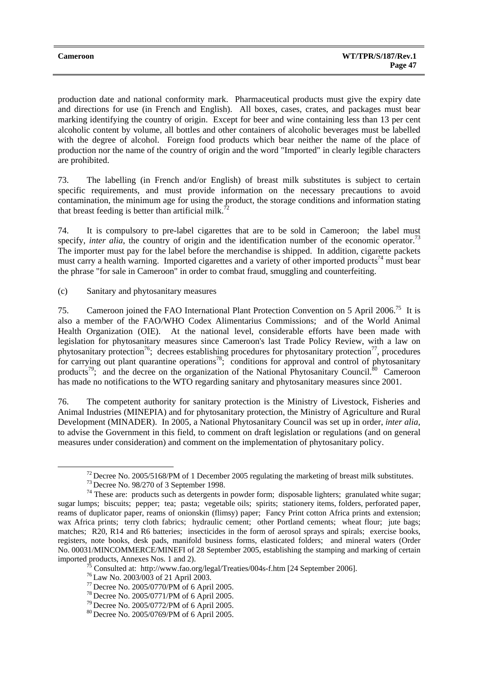production date and national conformity mark. Pharmaceutical products must give the expiry date and directions for use (in French and English). All boxes, cases, crates, and packages must bear marking identifying the country of origin. Except for beer and wine containing less than 13 per cent alcoholic content by volume, all bottles and other containers of alcoholic beverages must be labelled with the degree of alcohol. Foreign food products which bear neither the name of the place of production nor the name of the country of origin and the word "Imported" in clearly legible characters are prohibited.

73. The labelling (in French and/or English) of breast milk substitutes is subject to certain specific requirements, and must provide information on the necessary precautions to avoid contamination, the minimum age for using the product, the storage conditions and information stating that breast feeding is better than artificial milk.<sup>72</sup>

74. It is compulsory to pre-label cigarettes that are to be sold in Cameroon; the label must specify, *inter alia*, the country of origin and the identification number of the economic operator.<sup>73</sup> The importer must pay for the label before the merchandise is shipped. In addition, cigarette packets must carry a health warning. Imported cigarettes and a variety of other imported products<sup>74</sup> must bear the phrase "for sale in Cameroon" in order to combat fraud, smuggling and counterfeiting.

(c) Sanitary and phytosanitary measures

75. Cameroon joined the FAO International Plant Protection Convention on 5 April 2006.<sup>75</sup> It is also a member of the FAO/WHO Codex Alimentarius Commissions; and of the World Animal Health Organization (OIE). At the national level, considerable efforts have been made with legislation for phytosanitary measures since Cameroon's last Trade Policy Review, with a law on phytosanitary protection<sup>76</sup>; decrees establishing procedures for phytosanitary protection<sup>77</sup>, procedures for carrying out plant quarantine operations<sup>78</sup>; conditions for approval and control of phytosanitary products<sup>79</sup>; and the decree on the organization of the National Phytosanitary Council.<sup>80</sup> Cameroon has made no notifications to the WTO regarding sanitary and phytosanitary measures since 2001.

76. The competent authority for sanitary protection is the Ministry of Livestock, Fisheries and Animal Industries (MINEPIA) and for phytosanitary protection, the Ministry of Agriculture and Rural Development (MINADER). In 2005, a National Phytosanitary Council was set up in order, *inter alia*, to advise the Government in this field, to comment on draft legislation or regulations (and on general measures under consideration) and comment on the implementation of phytosanitary policy.

<sup>&</sup>lt;sup>72</sup> Decree No. 2005/5168/PM of 1 December 2005 regulating the marketing of breast milk substitutes.<br><sup>73</sup> Decree No. 98/270 of 3 September 1998.<br><sup>74</sup> These are: products such as detergents in powder form; disposable light sugar lumps; biscuits; pepper; tea; pasta; vegetable oils; spirits; stationery items, folders, perforated paper, reams of duplicator paper, reams of onionskin (flimsy) paper; Fancy Print cotton Africa prints and extension; wax Africa prints; terry cloth fabrics; hydraulic cement; other Portland cements; wheat flour; jute bags; matches; R20, R14 and R6 batteries; insecticides in the form of aerosol sprays and spirals; exercise books, registers, note books, desk pads, manifold business forms, elasticated folders; and mineral waters (Order No. 00031/MINCOMMERCE/MINEFI of 28 September 2005, establishing the stamping and marking of certain imported products, Annexes Nos. 1 and 2).

<sup>&</sup>lt;sup>75</sup> Consulted at: http://www.fao.org/legal/Treaties/004s-f.htm [24 September 2006].<br><sup>76</sup> Law No. 2003/003 of 21 April 2003.<br><sup>77</sup> Decree No. 2005/0770/PM of 6 April 2005.<br><sup>78</sup> Decree No. 2005/0771/PM of 6 April 2005.<br><sup>79</sup>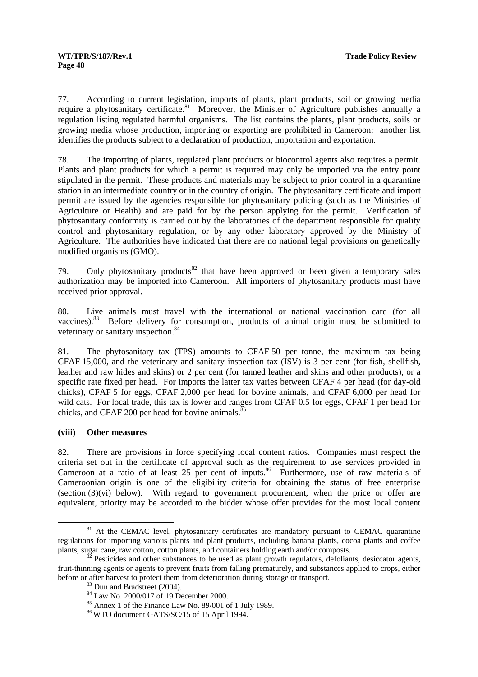77. According to current legislation, imports of plants, plant products, soil or growing media require a phytosanitary certificate.<sup>81</sup> Moreover, the Minister of Agriculture publishes annually a regulation listing regulated harmful organisms. The list contains the plants, plant products, soils or growing media whose production, importing or exporting are prohibited in Cameroon; another list identifies the products subject to a declaration of production, importation and exportation.

78. The importing of plants, regulated plant products or biocontrol agents also requires a permit. Plants and plant products for which a permit is required may only be imported via the entry point stipulated in the permit. These products and materials may be subject to prior control in a quarantine station in an intermediate country or in the country of origin. The phytosanitary certificate and import permit are issued by the agencies responsible for phytosanitary policing (such as the Ministries of Agriculture or Health) and are paid for by the person applying for the permit. Verification of phytosanitary conformity is carried out by the laboratories of the department responsible for quality control and phytosanitary regulation, or by any other laboratory approved by the Ministry of Agriculture. The authorities have indicated that there are no national legal provisions on genetically modified organisms (GMO).

79. Only phytosanitary products $82$  that have been approved or been given a temporary sales authorization may be imported into Cameroon. All importers of phytosanitary products must have received prior approval.

80. Live animals must travel with the international or national vaccination card (for all vaccines).<sup>83</sup> Before delivery for consumption, products of animal origin must be submitted to veterinary or sanitary inspection.<sup>84</sup>

81. The phytosanitary tax (TPS) amounts to CFAF 50 per tonne, the maximum tax being CFAF 15,000, and the veterinary and sanitary inspection tax (ISV) is 3 per cent (for fish, shellfish, leather and raw hides and skins) or 2 per cent (for tanned leather and skins and other products), or a specific rate fixed per head. For imports the latter tax varies between CFAF 4 per head (for day-old chicks), CFAF 5 for eggs, CFAF 2,000 per head for bovine animals, and CFAF 6,000 per head for wild cats. For local trade, this tax is lower and ranges from CFAF 0.5 for eggs, CFAF 1 per head for chicks, and CFAF 200 per head for bovine animals.<sup>85</sup>

## **(viii) Other measures**

82. There are provisions in force specifying local content ratios. Companies must respect the criteria set out in the certificate of approval such as the requirement to use services provided in Cameroon at a ratio of at least 25 per cent of inputs.<sup>86</sup> Furthermore, use of raw materials of Cameroonian origin is one of the eligibility criteria for obtaining the status of free enterprise (section (3)(vi) below). With regard to government procurement, when the price or offer are equivalent, priority may be accorded to the bidder whose offer provides for the most local content

<sup>&</sup>lt;sup>81</sup> At the CEMAC level, phytosanitary certificates are mandatory pursuant to CEMAC quarantine regulations for importing various plants and plant products, including banana plants, cocoa plants and coffee plants, sugar cane, raw cotton, cotton plants, and containers holding earth and/or composts.<br><sup>82</sup> Pesticides and other substances to be used as plant growth regulators, defoliants, desiccator agents,

fruit-thinning agents or agents to prevent fruits from falling prematurely, and substances applied to crops, either before or after harvest to protect them from deterioration during storage or transport.<br><sup>83</sup> Dun and Bradstreet (2004).

<sup>&</sup>lt;sup>84</sup> Law No. 2000/017 of 19 December 2000.

<sup>85</sup> Annex 1 of the Finance Law No. 89/001 of 1 July 1989.

<sup>86</sup> WTO document GATS/SC/15 of 15 April 1994.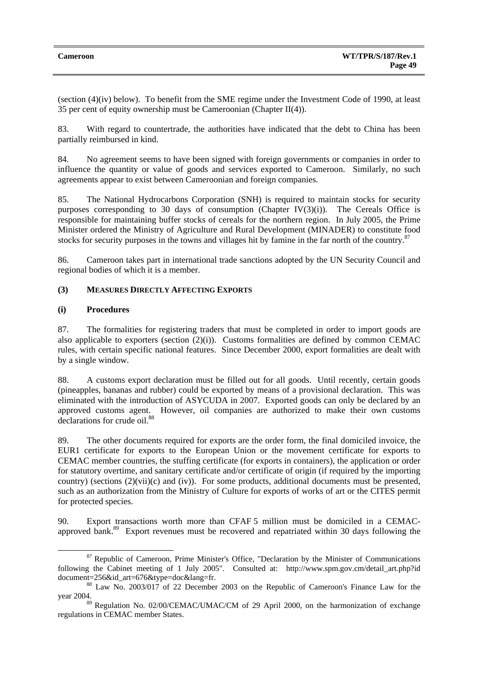| <b>Cameroon</b> | <b>WT/TPR/S/187/Rev.1</b> |
|-----------------|---------------------------|
|                 | Page 49                   |

(section (4)(iv) below). To benefit from the SME regime under the Investment Code of 1990, at least 35 per cent of equity ownership must be Cameroonian (Chapter II(4)).

83. With regard to countertrade, the authorities have indicated that the debt to China has been partially reimbursed in kind.

84. No agreement seems to have been signed with foreign governments or companies in order to influence the quantity or value of goods and services exported to Cameroon. Similarly, no such agreements appear to exist between Cameroonian and foreign companies.

85. The National Hydrocarbons Corporation (SNH) is required to maintain stocks for security purposes corresponding to 30 days of consumption (Chapter IV $(3)(i)$ ). The Cereals Office is responsible for maintaining buffer stocks of cereals for the northern region. In July 2005, the Prime Minister ordered the Ministry of Agriculture and Rural Development (MINADER) to constitute food stocks for security purposes in the towns and villages hit by famine in the far north of the country.<sup>87</sup>

86. Cameroon takes part in international trade sanctions adopted by the UN Security Council and regional bodies of which it is a member.

# **(3) MEASURES DIRECTLY AFFECTING EXPORTS**

# **(i) Procedures**

87. The formalities for registering traders that must be completed in order to import goods are also applicable to exporters (section  $(2)(i)$ ). Customs formalities are defined by common CEMAC rules, with certain specific national features. Since December 2000, export formalities are dealt with by a single window.

88. A customs export declaration must be filled out for all goods. Until recently, certain goods (pineapples, bananas and rubber) could be exported by means of a provisional declaration. This was eliminated with the introduction of ASYCUDA in 2007. Exported goods can only be declared by an approved customs agent. However, oil companies are authorized to make their own customs declarations for crude oil.<sup>88</sup>

89. The other documents required for exports are the order form, the final domiciled invoice, the EUR1 certificate for exports to the European Union or the movement certificate for exports to CEMAC member countries, the stuffing certificate (for exports in containers), the application or order for statutory overtime, and sanitary certificate and/or certificate of origin (if required by the importing country) (sections (2)(vii)(c) and (iv)). For some products, additional documents must be presented, such as an authorization from the Ministry of Culture for exports of works of art or the CITES permit for protected species.

90. Export transactions worth more than CFAF 5 million must be domiciled in a CEMACapproved bank.89 Export revenues must be recovered and repatriated within 30 days following the

 $87$  Republic of Cameroon, Prime Minister's Office, "Declaration by the Minister of Communications following the Cabinet meeting of 1 July 2005". Consulted at: http://www.spm.gov.cm/detail art.php?id document=256&id\_art=676&type=doc&lang=fr.<br><sup>88</sup> Law No. 2003/017 of 22 December 2003 on the Republic of Cameroon's Finance Law for the

year 2004.

<sup>89</sup> Regulation No. 02/00/CEMAC/UMAC/CM of 29 April 2000, on the harmonization of exchange regulations in CEMAC member States.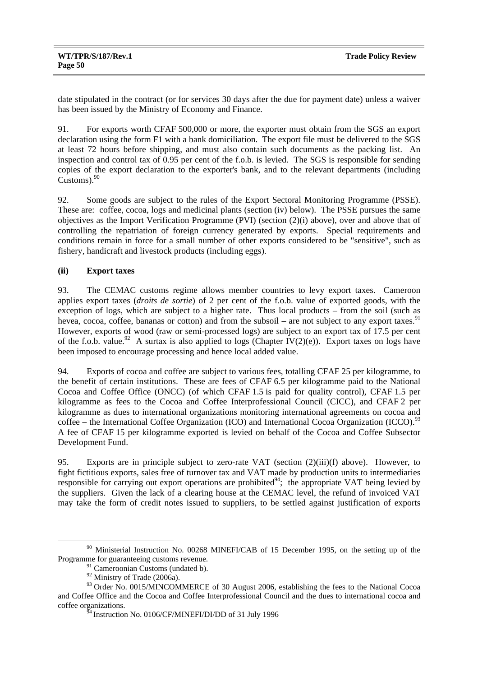date stipulated in the contract (or for services 30 days after the due for payment date) unless a waiver has been issued by the Ministry of Economy and Finance.

91. For exports worth CFAF 500,000 or more, the exporter must obtain from the SGS an export declaration using the form F1 with a bank domiciliation. The export file must be delivered to the SGS at least 72 hours before shipping, and must also contain such documents as the packing list. An inspection and control tax of 0.95 per cent of the f.o.b. is levied. The SGS is responsible for sending copies of the export declaration to the exporter's bank, and to the relevant departments (including Customs). $90$ 

92. Some goods are subject to the rules of the Export Sectoral Monitoring Programme (PSSE). These are: coffee, cocoa, logs and medicinal plants (section (iv) below). The PSSE pursues the same objectives as the Import Verification Programme (PVI) (section (2)(i) above), over and above that of controlling the repatriation of foreign currency generated by exports. Special requirements and conditions remain in force for a small number of other exports considered to be "sensitive", such as fishery, handicraft and livestock products (including eggs).

# **(ii) Export taxes**

93. The CEMAC customs regime allows member countries to levy export taxes. Cameroon applies export taxes (*droits de sortie*) of 2 per cent of the f.o.b. value of exported goods, with the exception of logs, which are subject to a higher rate. Thus local products – from the soil (such as hevea, cocoa, coffee, bananas or cotton) and from the subsoil – are not subject to any export taxes.<sup>91</sup> However, exports of wood (raw or semi-processed logs) are subject to an export tax of 17.5 per cent of the f.o.b. value.<sup>92</sup> A surtax is also applied to logs (Chapter IV(2)(e)). Export taxes on logs have been imposed to encourage processing and hence local added value.

94. Exports of cocoa and coffee are subject to various fees, totalling CFAF 25 per kilogramme, to the benefit of certain institutions. These are fees of CFAF 6.5 per kilogramme paid to the National Cocoa and Coffee Office (ONCC) (of which CFAF 1.5 is paid for quality control), CFAF 1.5 per kilogramme as fees to the Cocoa and Coffee Interprofessional Council (CICC), and CFAF 2 per kilogramme as dues to international organizations monitoring international agreements on cocoa and coffee – the International Coffee Organization (ICO) and International Cocoa Organization (ICCO).<sup>93</sup> A fee of CFAF 15 per kilogramme exported is levied on behalf of the Cocoa and Coffee Subsector Development Fund.

95. Exports are in principle subject to zero-rate VAT (section (2)(iii)(f) above). However, to fight fictitious exports, sales free of turnover tax and VAT made by production units to intermediaries responsible for carrying out export operations are prohibited<sup>94</sup>; the appropriate VAT being levied by the suppliers. Given the lack of a clearing house at the CEMAC level, the refund of invoiced VAT may take the form of credit notes issued to suppliers, to be settled against justification of exports

<sup>&</sup>lt;sup>90</sup> Ministerial Instruction No. 00268 MINEFI/CAB of 15 December 1995, on the setting up of the Programme for guaranteeing customs revenue.

<sup>&</sup>lt;sup>91</sup> Cameroonian Customs (undated b).

<sup>92</sup> Ministry of Trade (2006a).

<sup>&</sup>lt;sup>93</sup> Order No. 0015/MINCOMMERCE of 30 August 2006, establishing the fees to the National Cocoa and Coffee Office and the Cocoa and Coffee Interprofessional Council and the dues to international cocoa and coffee organizations.

 $^{54}$ Instruction No. 0106/CF/MINEFI/DI/DD of 31 July 1996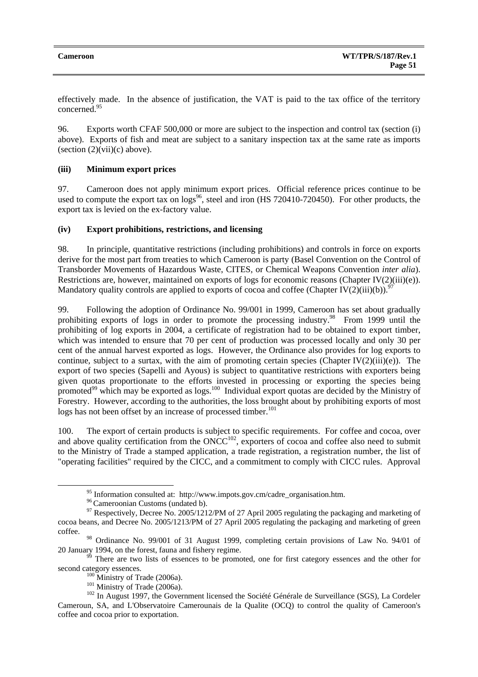effectively made. In the absence of justification, the VAT is paid to the tax office of the territory concerned.95

96. Exports worth CFAF 500,000 or more are subject to the inspection and control tax (section (i) above). Exports of fish and meat are subject to a sanitary inspection tax at the same rate as imports (section  $(2)(\n{\text{vii}})(c)$  above).

## **(iii) Minimum export prices**

97. Cameroon does not apply minimum export prices. Official reference prices continue to be used to compute the export tax on  $\log^{96}$ , steel and iron (HS 720410-720450). For other products, the export tax is levied on the ex-factory value.

## **(iv) Export prohibitions, restrictions, and licensing**

98. In principle, quantitative restrictions (including prohibitions) and controls in force on exports derive for the most part from treaties to which Cameroon is party (Basel Convention on the Control of Transborder Movements of Hazardous Waste, CITES, or Chemical Weapons Convention *inter alia*). Restrictions are, however, maintained on exports of logs for economic reasons (Chapter IV(2)(iii)(e)). Mandatory quality controls are applied to exports of cocoa and coffee (Chapter IV(2)(iii)(b)).<sup>9</sup>

99. Following the adoption of Ordinance No. 99/001 in 1999, Cameroon has set about gradually prohibiting exports of logs in order to promote the processing industry.<sup>98</sup> From 1999 until the prohibiting of log exports in 2004, a certificate of registration had to be obtained to export timber, which was intended to ensure that 70 per cent of production was processed locally and only 30 per cent of the annual harvest exported as logs. However, the Ordinance also provides for log exports to continue, subject to a surtax, with the aim of promoting certain species (Chapter IV $(2)(iii)(e)$ ). The export of two species (Sapelli and Ayous) is subject to quantitative restrictions with exporters being given quotas proportionate to the efforts invested in processing or exporting the species being promoted<sup>99</sup> which may be exported as logs.<sup>100</sup> Individual export quotas are decided by the Ministry of Forestry. However, according to the authorities, the loss brought about by prohibiting exports of most logs has not been offset by an increase of processed timber.<sup>101</sup>

100. The export of certain products is subject to specific requirements. For coffee and cocoa, over and above quality certification from the  $ONCC^{102}$ , exporters of cocoa and coffee also need to submit to the Ministry of Trade a stamped application, a trade registration, a registration number, the list of "operating facilities" required by the CICC, and a commitment to comply with CICC rules. Approval

<sup>&</sup>lt;sup>95</sup> Information consulted at: http://www.impots.gov.cm/cadre\_organisation.htm.<br><sup>96</sup> Cameroonian Customs (undated b).

 $^{97}$  Respectively, Decree No. 2005/1212/PM of 27 April 2005 regulating the packaging and marketing of cocoa beans, and Decree No. 2005/1213/PM of 27 April 2005 regulating the packaging and marketing of green coffee.

<sup>98</sup> Ordinance No. 99/001 of 31 August 1999, completing certain provisions of Law No. 94/01 of

<sup>20</sup> January 1994, on the forest, fauna and fishery regime.<br><sup>99</sup> There are two lists of essences to be promoted, one for first category essences and the other for

second category essences.<br><sup>100</sup> Ministry of Trade (2006a).<br><sup>101</sup> Ministry of Trade (2006a).<br><sup>102</sup> In August 1997, the Government licensed the Société Générale de Surveillance (SGS), La Cordeler Cameroun, SA, and L'Observatoire Camerounais de la Qualite (OCQ) to control the quality of Cameroon's coffee and cocoa prior to exportation.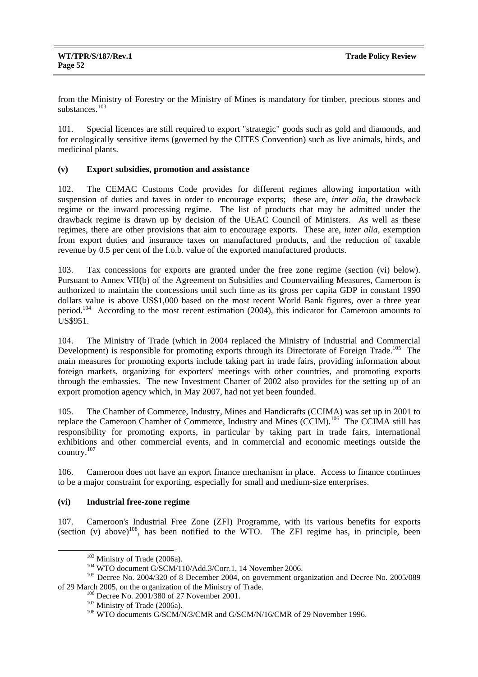from the Ministry of Forestry or the Ministry of Mines is mandatory for timber, precious stones and substances.<sup>103</sup>

101. Special licences are still required to export "strategic" goods such as gold and diamonds, and for ecologically sensitive items (governed by the CITES Convention) such as live animals, birds, and medicinal plants.

## **(v) Export subsidies, promotion and assistance**

102. The CEMAC Customs Code provides for different regimes allowing importation with suspension of duties and taxes in order to encourage exports; these are, *inter alia*, the drawback regime or the inward processing regime. The list of products that may be admitted under the drawback regime is drawn up by decision of the UEAC Council of Ministers. As well as these regimes, there are other provisions that aim to encourage exports. These are, *inter alia*, exemption from export duties and insurance taxes on manufactured products, and the reduction of taxable revenue by 0.5 per cent of the f.o.b. value of the exported manufactured products.

103. Tax concessions for exports are granted under the free zone regime (section (vi) below). Pursuant to Annex VII(b) of the Agreement on Subsidies and Countervailing Measures, Cameroon is authorized to maintain the concessions until such time as its gross per capita GDP in constant 1990 dollars value is above US\$1,000 based on the most recent World Bank figures, over a three year period.<sup>104</sup> According to the most recent estimation (2004), this indicator for Cameroon amounts to US\$951.

104. The Ministry of Trade (which in 2004 replaced the Ministry of Industrial and Commercial Development) is responsible for promoting exports through its Directorate of Foreign Trade.<sup>105</sup> The main measures for promoting exports include taking part in trade fairs, providing information about foreign markets, organizing for exporters' meetings with other countries, and promoting exports through the embassies. The new Investment Charter of 2002 also provides for the setting up of an export promotion agency which, in May 2007, had not yet been founded.

105. The Chamber of Commerce, Industry, Mines and Handicrafts (CCIMA) was set up in 2001 to replace the Cameroon Chamber of Commerce, Industry and Mines (CCIM).<sup>106</sup> The CCIMA still has responsibility for promoting exports, in particular by taking part in trade fairs, international exhibitions and other commercial events, and in commercial and economic meetings outside the country.107

106. Cameroon does not have an export finance mechanism in place. Access to finance continues to be a major constraint for exporting, especially for small and medium-size enterprises.

## **(vi) Industrial free-zone regime**

107. Cameroon's Industrial Free Zone (ZFI) Programme, with its various benefits for exports (section  $(v)$  above)<sup>108</sup>, has been notified to the WTO. The ZFI regime has, in principle, been

<sup>&</sup>lt;sup>103</sup> Ministry of Trade (2006a).<br><sup>104</sup> WTO document G/SCM/110/Add.3/Corr.1, 14 November 2006.<br><sup>105</sup> Decree No. 2004/320 of 8 December 2004, on government organization and Decree No. 2005/089<br>of 29 March 2005, on the organ

<sup>&</sup>lt;sup>106</sup> Decree No. 2001/380 of 27 November 2001.<br><sup>107</sup> Ministry of Trade. (2006a).<br><sup>108</sup> WTO documents G/SCM/N/3/CMR and G/SCM/N/16/CMR of 29 November 1996.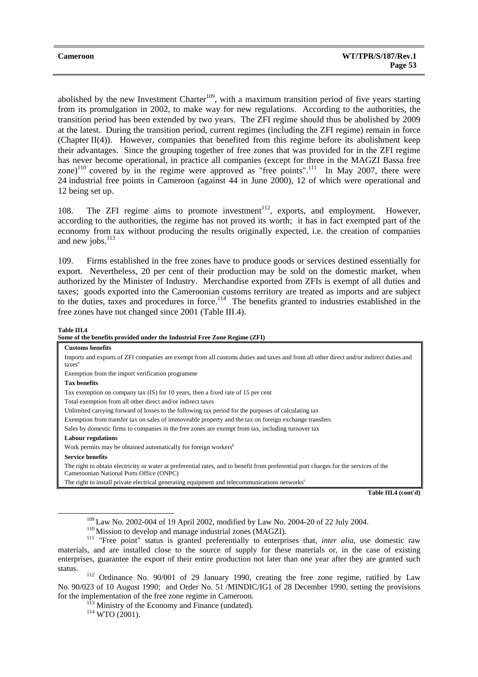abolished by the new Investment Charter<sup>109</sup>, with a maximum transition period of five years starting from its promulgation in 2002, to make way for new regulations. According to the authorities, the transition period has been extended by two years. The ZFI regime should thus be abolished by 2009 at the latest. During the transition period, current regimes (including the ZFI regime) remain in force (Chapter  $II(4)$ ). However, companies that benefited from this regime before its abolishment keep their advantages. Since the grouping together of free zones that was provided for in the ZFI regime has never become operational, in practice all companies (except for three in the MAGZI Bassa free zone)<sup>110</sup> covered by in the regime were approved as "free points".<sup>111</sup> In May 2007, there were 24 industrial free points in Cameroon (against 44 in June 2000), 12 of which were operational and 12 being set up.

108. The ZFI regime aims to promote investment $112$ , exports, and employment. However, according to the authorities, the regime has not proved its worth; it has in fact exempted part of the economy from tax without producing the results originally expected, i.e. the creation of companies and new jobs. $^{113}$ 

109. Firms established in the free zones have to produce goods or services destined essentially for export. Nevertheless, 20 per cent of their production may be sold on the domestic market, when authorized by the Minister of Industry. Merchandise exported from ZFIs is exempt of all duties and taxes; goods exported into the Cameroonian customs territory are treated as imports and are subject to the duties, taxes and procedures in force.<sup>114</sup> The benefits granted to industries established in the free zones have not changed since 2001 (Table III.4).

#### **Table III.4**

**Some of the benefits provided under the Industrial Free Zone Regime (ZFI) Customs benefits**  Imports and exports of ZFI companies are exempt from all customs duties and taxes and from all other direct and/or indirect duties and taxes<sup>a</sup> Exemption from the import verification programme **Tax benefits**  Tax exemption on company tax (IS) for 10 years, then a fixed rate of 15 per cent Total exemption from all other direct and/or indirect taxes Unlimited carrying forward of losses to the following tax period for the purposes of calculating tax Exemption from transfer tax on sales of immoveable property and the tax on foreign exchange transfers Sales by domestic firms to companies in the free zones are exempt from tax, including turnover tax **Labour regulations**  Work permits may be obtained automatically for foreign workers<sup>b</sup> **Service benefits**  The right to obtain electricity or water at preferential rates, and to benefit from preferential port charges for the services of the Cameroonian National Ports Office (ONPC)

The right to install private electrical generating equipment and telecommunications networks<sup>c</sup>

**Table III.4 (cont'd)** 

status. 112 Ordinance No. 90/001 of 29 January 1990, creating the free zone regime, ratified by Law No. 90/023 of 10 August 1990; and Order No. 51 /MINDIC/IG1 of 28 December 1990, setting the provisions for the implementation of the free zone regime in Cameroon.<br><sup>113</sup> Ministry of the Economy and Finance (undated).<br><sup>114</sup> WTO (2001).

<sup>&</sup>lt;sup>109</sup> Law No. 2002-004 of 19 April 2002, modified by Law No. 2004-20 of 22 July 2004.<br><sup>110</sup> Mission to develop and manage industrial zones (MAGZI).<br><sup>111</sup> "Free point" status is granted preferentially to enterprises that, materials, and are installed close to the source of supply for these materials or, in the case of existing enterprises, guarantee the export of their entire production not later than one year after they are granted such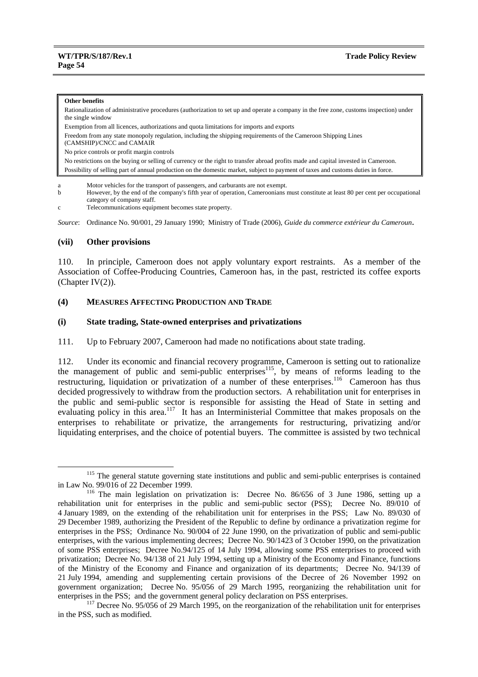#### **Other benefits**

Rationalization of administrative procedures (authorization to set up and operate a company in the free zone, customs inspection) under the single window

Exemption from all licences, authorizations and quota limitations for imports and exports

Freedom from any state monopoly regulation, including the shipping requirements of the Cameroon Shipping Lines

(CAMSHIP)/CNCC and CAMAIR

No price controls or profit margin controls

No restrictions on the buying or selling of currency or the right to transfer abroad profits made and capital invested in Cameroon. Possibility of selling part of annual production on the domestic market, subject to payment of taxes and customs duties in force.

a Motor vehicles for the transport of passengers, and carburants are not exempt.

b However, by the end of the company's fifth year of operation, Cameroonians must constitute at least 80 per cent per occupational category of company staff.

c Telecommunications equipment becomes state property.

*Source*: Ordinance No. 90/001, 29 January 1990; Ministry of Trade (2006), *Guide du commerce extérieur du Cameroun*.

## **(vii) Other provisions**

110. In principle, Cameroon does not apply voluntary export restraints. As a member of the Association of Coffee-Producing Countries, Cameroon has, in the past, restricted its coffee exports (Chapter IV(2)).

#### **(4) MEASURES AFFECTING PRODUCTION AND TRADE**

#### **(i) State trading, State-owned enterprises and privatizations**

111. Up to February 2007, Cameroon had made no notifications about state trading.

112. Under its economic and financial recovery programme, Cameroon is setting out to rationalize the management of public and semi-public enterprises<sup>115</sup>, by means of reforms leading to the restructuring, liquidation or privatization of a number of these enterprises.<sup>116</sup> Cameroon has thus decided progressively to withdraw from the production sectors. A rehabilitation unit for enterprises in the public and semi-public sector is responsible for assisting the Head of State in setting and evaluating policy in this area.<sup>117</sup> It has an Interministerial Committee that makes proposals on the enterprises to rehabilitate or privatize, the arrangements for restructuring, privatizing and/or liquidating enterprises, and the choice of potential buyers. The committee is assisted by two technical

<sup>&</sup>lt;sup>115</sup> The general statute governing state institutions and public and semi-public enterprises is contained in Law No. 99/016 of 22 December 1999.

 $116$  The main legislation on privatization is: Decree No. 86/656 of 3 June 1986, setting up a rehabilitation unit for enterprises in the public and semi-public sector (PSS); Decree No. 89/010 of 4 January 1989, on the extending of the rehabilitation unit for enterprises in the PSS; Law No. 89/030 of 29 December 1989, authorizing the President of the Republic to define by ordinance a privatization regime for enterprises in the PSS; Ordinance No. 90/004 of 22 June 1990, on the privatization of public and semi-public enterprises, with the various implementing decrees; Decree No. 90/1423 of 3 October 1990, on the privatization of some PSS enterprises; Decree No.94/125 of 14 July 1994, allowing some PSS enterprises to proceed with privatization; Decree No. 94/138 of 21 July 1994, setting up a Ministry of the Economy and Finance, functions of the Ministry of the Economy and Finance and organization of its departments; Decree No. 94/139 of 21 July 1994, amending and supplementing certain provisions of the Decree of 26 November 1992 on government organization; Decree No. 95/056 of 29 March 1995, reorganizing the rehabilitation unit for enterprises in the PSS; and the government general policy declaration on PSS enterprises.<br><sup>117</sup> Decree No. 95/056 of 29 March 1995, on the reorganization of the rehabilitation unit for enterprises

in the PSS, such as modified.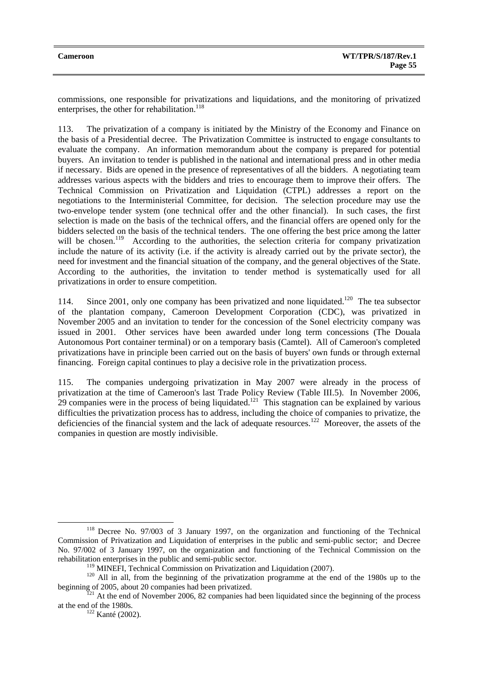commissions, one responsible for privatizations and liquidations, and the monitoring of privatized enterprises, the other for rehabilitation.<sup>118</sup>

113. The privatization of a company is initiated by the Ministry of the Economy and Finance on the basis of a Presidential decree. The Privatization Committee is instructed to engage consultants to evaluate the company. An information memorandum about the company is prepared for potential buyers. An invitation to tender is published in the national and international press and in other media if necessary. Bids are opened in the presence of representatives of all the bidders. A negotiating team addresses various aspects with the bidders and tries to encourage them to improve their offers. The Technical Commission on Privatization and Liquidation (CTPL) addresses a report on the negotiations to the Interministerial Committee, for decision. The selection procedure may use the two-envelope tender system (one technical offer and the other financial). In such cases, the first selection is made on the basis of the technical offers, and the financial offers are opened only for the bidders selected on the basis of the technical tenders. The one offering the best price among the latter will be chosen.<sup>119</sup> According to the authorities, the selection criteria for company privatization include the nature of its activity (i.e. if the activity is already carried out by the private sector), the need for investment and the financial situation of the company, and the general objectives of the State. According to the authorities, the invitation to tender method is systematically used for all privatizations in order to ensure competition.

114. Since 2001, only one company has been privatized and none liquidated.<sup>120</sup> The tea subsector of the plantation company, Cameroon Development Corporation (CDC), was privatized in November 2005 and an invitation to tender for the concession of the Sonel electricity company was issued in 2001. Other services have been awarded under long term concessions (The Douala Autonomous Port container terminal) or on a temporary basis (Camtel). All of Cameroon's completed privatizations have in principle been carried out on the basis of buyers' own funds or through external financing. Foreign capital continues to play a decisive role in the privatization process.

115. The companies undergoing privatization in May 2007 were already in the process of privatization at the time of Cameroon's last Trade Policy Review (Table III.5). In November 2006, 29 companies were in the process of being liquidated.<sup>121</sup> This stagnation can be explained by various difficulties the privatization process has to address, including the choice of companies to privatize, the deficiencies of the financial system and the lack of adequate resources.<sup>122</sup> Moreover, the assets of the companies in question are mostly indivisible.

<sup>&</sup>lt;sup>118</sup> Decree No. 97/003 of 3 January 1997, on the organization and functioning of the Technical Commission of Privatization and Liquidation of enterprises in the public and semi-public sector; and Decree No. 97/002 of 3 January 1997, on the organization and functioning of the Technical Commission on the rehabilitation enterprises in the public and semi-public sector.<br><sup>119</sup> MINEFI, Technical Commission on Privatization and Liquidation (2007).

 $120$  All in all, from the beginning of the privatization programme at the end of the 1980s up to the beginning of 2005, about 20 companies had been privatized.<br><sup>121</sup> At the end of November 2006, 82 companies had been liquidated since the beginning of the process

at the end of the 1980s.<br> $\frac{122}{122}$  Kanté (2002).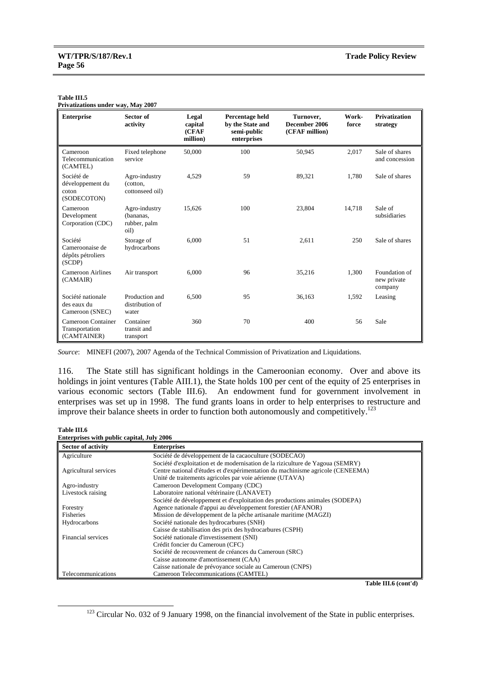#### **Table III.5**

**Privatizations under way, May 2007** 

| <b>Enterprise</b>                                         | Sector of<br>activity                              | Legal<br>capital<br>(CFAF<br>million) | Percentage held<br>by the State and<br>semi-public<br>enterprises | Turnover,<br>December 2006<br>(CFAF million) | Work-<br>force | <b>Privatization</b><br>strategy        |
|-----------------------------------------------------------|----------------------------------------------------|---------------------------------------|-------------------------------------------------------------------|----------------------------------------------|----------------|-----------------------------------------|
| Cameroon<br>Telecommunication<br>(CAMTEL)                 | Fixed telephone<br>service                         | 50,000                                | 100                                                               | 50,945                                       | 2,017          | Sale of shares<br>and concession        |
| Société de<br>développement du<br>coton<br>(SODECOTON)    | Agro-industry<br>(cotton,<br>cottonseed oil)       | 4,529                                 | 59                                                                | 89,321                                       | 1,780          | Sale of shares                          |
| Cameroon<br>Development<br>Corporation (CDC)              | Agro-industry<br>(bananas.<br>rubber, palm<br>oil) | 15,626                                | 100                                                               | 23,804                                       | 14,718         | Sale of<br>subsidiaries                 |
| Société<br>Cameroonaise de<br>dépôts pétroliers<br>(SCDP) | Storage of<br>hydrocarbons                         | 6.000                                 | 51                                                                | 2,611                                        | 250            | Sale of shares                          |
| Cameroon Airlines<br>(CAMAIR)                             | Air transport                                      | 6.000                                 | 96                                                                | 35,216                                       | 1,300          | Foundation of<br>new private<br>company |
| Société nationale<br>des eaux du<br>Cameroon (SNEC)       | Production and<br>distribution of<br>water         | 6,500                                 | 95                                                                | 36,163                                       | 1,592          | Leasing                                 |
| Cameroon Container<br>Transportation<br>(CAMTAINER)       | Container<br>transit and<br>transport              | 360                                   | 70                                                                | 400                                          | 56             | Sale                                    |

*Source*: MINEFI (2007), 2007 Agenda of the Technical Commission of Privatization and Liquidations.

116. The State still has significant holdings in the Cameroonian economy. Over and above its holdings in joint ventures (Table AIII.1), the State holds 100 per cent of the equity of 25 enterprises in various economic sectors (Table III.6). An endowment fund for government involvement in enterprises was set up in 1998. The fund grants loans in order to help enterprises to restructure and improve their balance sheets in order to function both autonomously and competitively.<sup>123</sup>

#### **Table III.6**

| <b>Enterprises with public capital, July 2006</b> |  |  |  |
|---------------------------------------------------|--|--|--|
|                                                   |  |  |  |

| <b>Sector of activity</b> | <b>Enterprises</b>                                                             |
|---------------------------|--------------------------------------------------------------------------------|
| Agriculture               | Société de développement de la cacaoculture (SODECAO)                          |
|                           | Société d'exploitation et de modernisation de la riziculture de Yagoua (SEMRY) |
| Agricultural services     | Centre national d'études et d'expérimentation du machinisme agricole (CENEEMA) |
|                           | Unité de traitements agricoles par voie aérienne (UTAVA)                       |
| Agro-industry             | Cameroon Development Company (CDC)                                             |
| Livestock raising         | Laboratoire national vétérinaire (LANAVET)                                     |
|                           | Société de développement et d'exploitation des productions animales (SODEPA)   |
| Forestry                  | Agence nationale d'appui au développement forestier (AFANOR)                   |
| Fisheries                 | Mission de développement de la pêche artisanale maritime (MAGZI)               |
| Hydrocarbons              | Société nationale des hydrocarbures (SNH)                                      |
|                           | Caisse de stabilisation des prix des hydrocarbures (CSPH)                      |
| Financial services        | Société nationale d'investissement (SNI)                                       |
|                           | Crédit foncier du Cameroun (CFC)                                               |
|                           | Société de recouvrement de créances du Cameroun (SRC)                          |
|                           | Caisse autonome d'amortissement (CAA)                                          |
|                           | Caisse nationale de prévoyance sociale au Cameroun (CNPS)                      |
| Telecommunications        | Cameroon Telecommunications (CAMTEL)                                           |

**Table III.6 (cont'd)** 

<sup>&</sup>lt;sup>123</sup> Circular No. 032 of 9 January 1998, on the financial involvement of the State in public enterprises.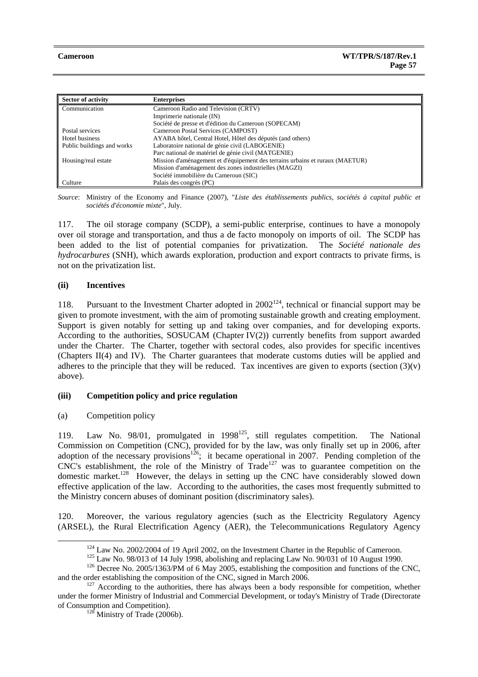| <b>Sector of activity</b>  | <b>Enterprises</b>                                                            |
|----------------------------|-------------------------------------------------------------------------------|
| Communication              | Cameroon Radio and Television (CRTV)                                          |
|                            | Imprimerie nationale (IN)                                                     |
|                            | Société de presse et d'édition du Cameroun (SOPECAM)                          |
| Postal services            | Cameroon Postal Services (CAMPOST)                                            |
| Hotel business             | AYABA hôtel, Central Hotel, Hôtel des députés (and others)                    |
| Public buildings and works | Laboratoire national de génie civil (LABOGENIE)                               |
|                            | Parc national de matériel de génie civil (MATGENIE)                           |
| Housing/real estate        | Mission d'aménagement et d'équipement des terrains urbains et ruraux (MAETUR) |
|                            | Mission d'aménagement des zones industrielles (MAGZI)                         |
|                            | Société immobilière du Cameroun (SIC)                                         |
| Culture                    | Palais des congrès (PC)                                                       |

*Source*: Ministry of the Economy and Finance (2007), "*Liste des établissements publics, sociétés à capital public et sociétés d'économie mixte*", July.

117. The oil storage company (SCDP), a semi-public enterprise, continues to have a monopoly over oil storage and transportation, and thus a de facto monopoly on imports of oil. The SCDP has been added to the list of potential companies for privatization. The *Société nationale des hydrocarbures* (SNH), which awards exploration, production and export contracts to private firms, is not on the privatization list.

## **(ii) Incentives**

118. Pursuant to the Investment Charter adopted in  $2002^{124}$ , technical or financial support may be given to promote investment, with the aim of promoting sustainable growth and creating employment. Support is given notably for setting up and taking over companies, and for developing exports. According to the authorities, SOSUCAM (Chapter IV(2)) currently benefits from support awarded under the Charter. The Charter, together with sectoral codes, also provides for specific incentives (Chapters II(4) and IV). The Charter guarantees that moderate customs duties will be applied and adheres to the principle that they will be reduced. Tax incentives are given to exports (section  $(3)(v)$ ) above).

## **(iii) Competition policy and price regulation**

(a) Competition policy

119. Law No. 98/01, promulgated in 1998125, still regulates competition. The National Commission on Competition (CNC), provided for by the law, was only finally set up in 2006, after adoption of the necessary provisions<sup>126</sup>; it became operational in 2007. Pending completion of the  $CNC's$  establishment, the role of the Ministry of Trade<sup>127</sup> was to guarantee competition on the domestic market.<sup>128</sup> However, the delays in setting up the CNC have considerably slowed down effective application of the law. According to the authorities, the cases most frequently submitted to the Ministry concern abuses of dominant position (discriminatory sales).

120. Moreover, the various regulatory agencies (such as the Electricity Regulatory Agency (ARSEL), the Rural Electrification Agency (AER), the Telecommunications Regulatory Agency

<sup>&</sup>lt;sup>124</sup> Law No. 2002/2004 of 19 April 2002, on the Investment Charter in the Republic of Cameroon.<br><sup>125</sup> Law No. 98/013 of 14 July 1998, abolishing and replacing Law No. 90/031 of 10 August 1990.<br><sup>126</sup> Decree No. 2005/1363/

and the order establishing the composition of the CNC, signed in March 2006.<br><sup>127</sup> According to the authorities, there has always been a body responsible for competition, whether under the former Ministry of Industrial and Commercial Development, or today's Ministry of Trade (Directorate of Consumption and Competition). 128 Ministry of Trade (2006b).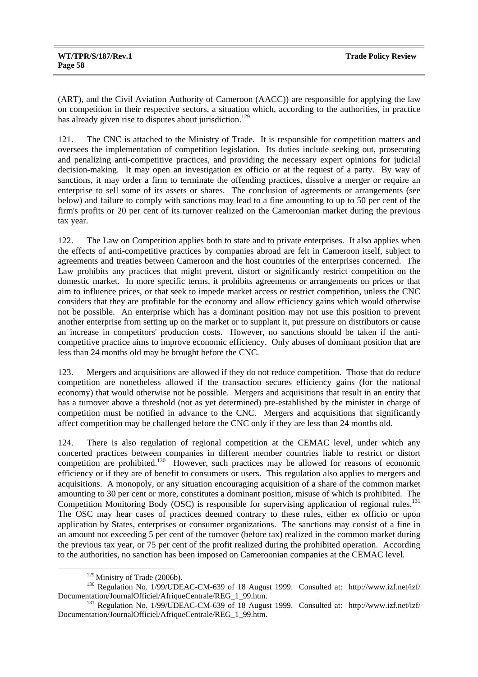(ART), and the Civil Aviation Authority of Cameroon (AACC)) are responsible for applying the law on competition in their respective sectors, a situation which, according to the authorities, in practice has already given rise to disputes about jurisdiction.<sup>129</sup>

121. The CNC is attached to the Ministry of Trade. It is responsible for competition matters and oversees the implementation of competition legislation. Its duties include seeking out, prosecuting and penalizing anti-competitive practices, and providing the necessary expert opinions for judicial decision-making. It may open an investigation ex officio or at the request of a party. By way of sanctions, it may order a firm to terminate the offending practices, dissolve a merger or require an enterprise to sell some of its assets or shares. The conclusion of agreements or arrangements (see below) and failure to comply with sanctions may lead to a fine amounting to up to 50 per cent of the firm's profits or 20 per cent of its turnover realized on the Cameroonian market during the previous tax year.

122. The Law on Competition applies both to state and to private enterprises. It also applies when the effects of anti-competitive practices by companies abroad are felt in Cameroon itself, subject to agreements and treaties between Cameroon and the host countries of the enterprises concerned. The Law prohibits any practices that might prevent, distort or significantly restrict competition on the domestic market. In more specific terms, it prohibits agreements or arrangements on prices or that aim to influence prices, or that seek to impede market access or restrict competition, unless the CNC considers that they are profitable for the economy and allow efficiency gains which would otherwise not be possible. An enterprise which has a dominant position may not use this position to prevent another enterprise from setting up on the market or to supplant it, put pressure on distributors or cause an increase in competitors' production costs. However, no sanctions should be taken if the anticompetitive practice aims to improve economic efficiency. Only abuses of dominant position that are less than 24 months old may be brought before the CNC.

123. Mergers and acquisitions are allowed if they do not reduce competition. Those that do reduce competition are nonetheless allowed if the transaction secures efficiency gains (for the national economy) that would otherwise not be possible. Mergers and acquisitions that result in an entity that has a turnover above a threshold (not as yet determined) pre-established by the minister in charge of competition must be notified in advance to the CNC. Mergers and acquisitions that significantly affect competition may be challenged before the CNC only if they are less than 24 months old.

124. There is also regulation of regional competition at the CEMAC level, under which any concerted practices between companies in different member countries liable to restrict or distort competition are prohibited.<sup>130</sup> However, such practices may be allowed for reasons of economic efficiency or if they are of benefit to consumers or users. This regulation also applies to mergers and acquisitions. A monopoly, or any situation encouraging acquisition of a share of the common market amounting to 30 per cent or more, constitutes a dominant position, misuse of which is prohibited. The Competition Monitoring Body (OSC) is responsible for supervising application of regional rules.<sup>131</sup> The OSC may hear cases of practices deemed contrary to these rules, either ex officio or upon application by States, enterprises or consumer organizations. The sanctions may consist of a fine in an amount not exceeding 5 per cent of the turnover (before tax) realized in the common market during the previous tax year, or 75 per cent of the profit realized during the prohibited operation. According to the authorities, no sanction has been imposed on Cameroonian companies at the CEMAC level.

<sup>&</sup>lt;sup>129</sup> Ministry of Trade (2006b).<br><sup>130</sup> Regulation No. 1/99/UDEAC-CM-639 of 18 August 1999. Consulted at: http://www.izf.net/izf/<br>Documentation/JournalOfficiel/AfriqueCentrale/REG 1 99.htm.

<sup>&</sup>lt;sup>131</sup> Regulation No. 1/99/UDEAC-CM-639 of 18 August 1999. Consulted at: http://www.izf.net/izf/ Documentation/JournalOfficiel/AfriqueCentrale/REG\_1\_99.htm.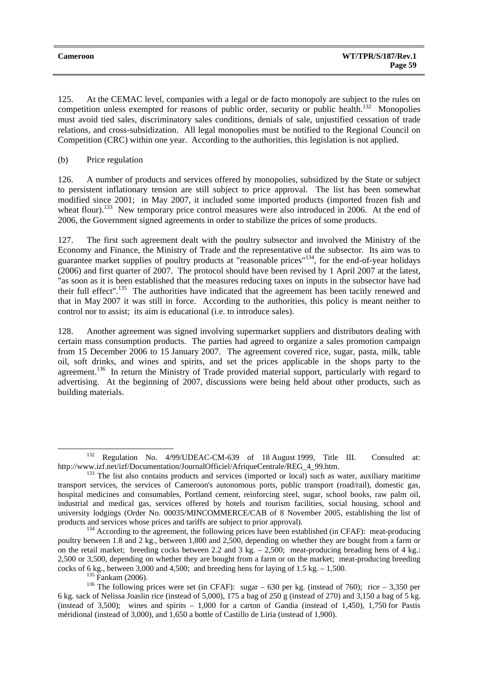125. At the CEMAC level, companies with a legal or de facto monopoly are subject to the rules on competition unless exempted for reasons of public order, security or public health.<sup>132</sup> Monopolies must avoid tied sales, discriminatory sales conditions, denials of sale, unjustified cessation of trade relations, and cross-subsidization. All legal monopolies must be notified to the Regional Council on Competition (CRC) within one year. According to the authorities, this legislation is not applied.

(b) Price regulation

126. A number of products and services offered by monopolies, subsidized by the State or subject to persistent inflationary tension are still subject to price approval. The list has been somewhat modified since 2001; in May 2007, it included some imported products (imported frozen fish and wheat flour).<sup>133</sup> New temporary price control measures were also introduced in 2006. At the end of 2006, the Government signed agreements in order to stabilize the prices of some products.

127. The first such agreement dealt with the poultry subsector and involved the Ministry of the Economy and Finance, the Ministry of Trade and the representative of the subsector. Its aim was to guarantee market supplies of poultry products at "reasonable prices"<sup>134</sup>, for the end-of-year holidays (2006) and first quarter of 2007. The protocol should have been revised by 1 April 2007 at the latest, "as soon as it is been established that the measures reducing taxes on inputs in the subsector have had their full effect".135 The authorities have indicated that the agreement has been tacitly renewed and that in May 2007 it was still in force. According to the authorities, this policy is meant neither to control nor to assist; its aim is educational (i.e. to introduce sales).

128. Another agreement was signed involving supermarket suppliers and distributors dealing with certain mass consumption products. The parties had agreed to organize a sales promotion campaign from 15 December 2006 to 15 January 2007. The agreement covered rice, sugar, pasta, milk, table oil, soft drinks, and wines and spirits, and set the prices applicable in the shops party to the agreement.<sup>136</sup> In return the Ministry of Trade provided material support, particularly with regard to advertising. At the beginning of 2007, discussions were being held about other products, such as building materials.

<sup>&</sup>lt;sup>132</sup> Regulation No. 4/99/UDEAC-CM-639 of 18 August 1999, Title III. Consulted at:<br>http://www.izf.net/izf/Documentation/JournalOfficiel/AfriqueCentrale/REG 4 99.htm.

 $h<sup>133</sup>$  The list also contains products and services (imported or local) such as water, auxiliary maritime transport services, the services of Cameroon's autonomous ports, public transport (road/rail), domestic gas, hospital medicines and consumables, Portland cement, reinforcing steel, sugar, school books, raw palm oil, industrial and medical gas, services offered by hotels and tourism facilities, social housing, school and university lodgings (Order No. 00035/MINCOMMERCE/CAB of 8 November 2005, establishing the list of products and services whose prices and tariffs are subject to prior approval).<br><sup>134</sup> According to the agreement, the following prices have been established (in CFAF): meat-producing

poultry between 1.8 and 2 kg., between 1,800 and 2,500, depending on whether they are bought from a farm or on the retail market; breeding cocks between 2.2 and 3 kg.  $- 2,500$ ; meat-producing breading hens of 4 kg.: 2,500 or 3,500, depending on whether they are bought from a farm or on the market; meat-producing breeding cocks of 6 kg., between 3,000 and 4,500; and breeding hens for laying of 1.5 kg. – 1,500.<br><sup>135</sup> Fankam (2006).<br><sup>136</sup> The following prices were set (in CFAF): sugar – 630 per kg. (instead of 760); rice – 3,350 per

<sup>6</sup> kg. sack of Nelissa Joaslin rice (instead of 5,000), 175 a bag of 250 g (instead of 270) and 3,150 a bag of 5 kg. (instead of 3,500); wines and spirits  $-1,000$  for a carton of Gandia (instead of 1,450), 1,750 for Pastis méridional (instead of 3,000), and 1,650 a bottle of Castillo de Liria (instead of 1,900).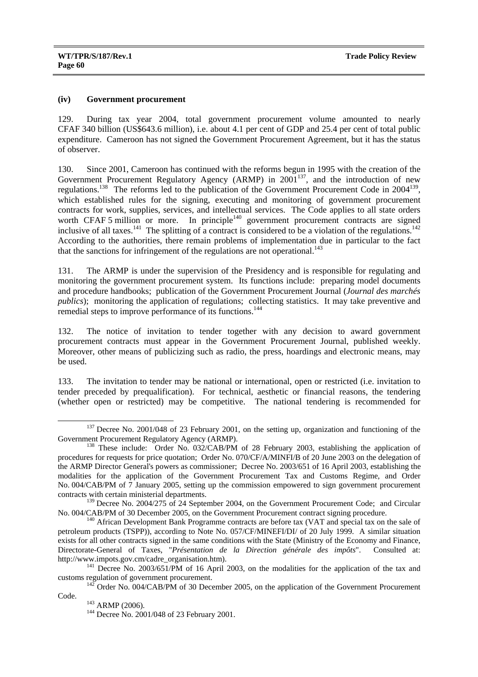## **(iv) Government procurement**

129. During tax year 2004, total government procurement volume amounted to nearly CFAF 340 billion (US\$643.6 million), i.e. about 4.1 per cent of GDP and 25.4 per cent of total public expenditure. Cameroon has not signed the Government Procurement Agreement, but it has the status of observer.

130. Since 2001, Cameroon has continued with the reforms begun in 1995 with the creation of the Government Procurement Regulatory Agency (ARMP) in 2001<sup>137</sup>, and the introduction of new regulations.<sup>138</sup> The reforms led to the publication of the Government Procurement Code in 2004<sup>139</sup>, which established rules for the signing, executing and monitoring of government procurement contracts for work, supplies, services, and intellectual services. The Code applies to all state orders worth CFAF 5 million or more. In principle<sup>140</sup> government procurement contracts are signed inclusive of all taxes.<sup>141</sup> The splitting of a contract is considered to be a violation of the regulations.<sup>142</sup> According to the authorities, there remain problems of implementation due in particular to the fact that the sanctions for infringement of the regulations are not operational.<sup>143</sup>

131. The ARMP is under the supervision of the Presidency and is responsible for regulating and monitoring the government procurement system. Its functions include: preparing model documents and procedure handbooks; publication of the Government Procurement Journal (*Journal des marchés publics*); monitoring the application of regulations; collecting statistics. It may take preventive and remedial steps to improve performance of its functions.<sup>144</sup>

132. The notice of invitation to tender together with any decision to award government procurement contracts must appear in the Government Procurement Journal, published weekly. Moreover, other means of publicizing such as radio, the press, hoardings and electronic means, may be used.

133. The invitation to tender may be national or international, open or restricted (i.e. invitation to tender preceded by prequalification). For technical, aesthetic or financial reasons, the tendering (whether open or restricted) may be competitive. The national tendering is recommended for

<sup>&</sup>lt;sup>137</sup> Decree No. 2001/048 of 23 February 2001, on the setting up, organization and functioning of the Government Procurement Regulatory Agency (ARMP).

 $^{138}$  These include: Order No. 032/CAB/PM of 28 February 2003, establishing the application of procedures for requests for price quotation; Order No. 070/CF/A/MINFI/B of 20 June 2003 on the delegation of the ARMP Director General's powers as commissioner; Decree No. 2003/651 of 16 April 2003, establishing the modalities for the application of the Government Procurement Tax and Customs Regime, and Order No. 004/CAB/PM of 7 January 2005, setting up the commission empowered to sign government procurement contracts with certain ministerial departments.

<sup>&</sup>lt;sup>139</sup> Decree No. 2004/275 of 24 September 2004, on the Government Procurement Code; and Circular No. 004/CAB/PM of 30 December 2005, on the Government Procurement contract signing procedure.<br><sup>140</sup> African Development Bank Programme contracts are before tax (VAT and special tax on the sale of

petroleum products (TSPP)), according to Note No. 057/CF/MINEFI/DI/ of 20 July 1999. A similar situation exists for all other contracts signed in the same conditions with the State (Ministry of the Economy and Finance, Directorate-General of Taxes, "*Présentation de la Direction générale des impôts*". Consulted at:

<sup>&</sup>lt;sup>141</sup> Decree No. 2003/651/PM of 16 April 2003, on the modalities for the application of the tax and

customs regulation of government procurement. 142 Order No. 004/CAB/PM of 30 December 2005, on the application of the Government Procurement

Code. 143 ARMP (2006).<br><sup>144</sup> Decree No. 2001/048 of 23 February 2001.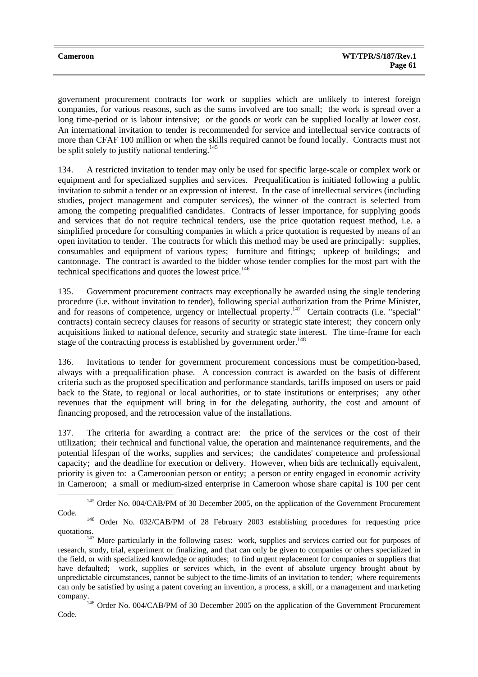| <b>Cameroon</b> | <b>WT/TPR/S/187/Rev.1</b> |
|-----------------|---------------------------|
|                 | Page 61                   |

government procurement contracts for work or supplies which are unlikely to interest foreign companies, for various reasons, such as the sums involved are too small; the work is spread over a long time-period or is labour intensive; or the goods or work can be supplied locally at lower cost. An international invitation to tender is recommended for service and intellectual service contracts of more than CFAF 100 million or when the skills required cannot be found locally. Contracts must not be split solely to justify national tendering.<sup>145</sup>

134. A restricted invitation to tender may only be used for specific large-scale or complex work or equipment and for specialized supplies and services. Prequalification is initiated following a public invitation to submit a tender or an expression of interest. In the case of intellectual services (including studies, project management and computer services), the winner of the contract is selected from among the competing prequalified candidates. Contracts of lesser importance, for supplying goods and services that do not require technical tenders, use the price quotation request method, i.e. a simplified procedure for consulting companies in which a price quotation is requested by means of an open invitation to tender. The contracts for which this method may be used are principally: supplies, consumables and equipment of various types; furniture and fittings; upkeep of buildings; and cantonnage. The contract is awarded to the bidder whose tender complies for the most part with the technical specifications and quotes the lowest price.<sup>146</sup>

135. Government procurement contracts may exceptionally be awarded using the single tendering procedure (i.e. without invitation to tender), following special authorization from the Prime Minister, and for reasons of competence, urgency or intellectual property.<sup>147</sup> Certain contracts (i.e. "special" contracts) contain secrecy clauses for reasons of security or strategic state interest; they concern only acquisitions linked to national defence, security and strategic state interest. The time-frame for each stage of the contracting process is established by government order.<sup>148</sup>

136. Invitations to tender for government procurement concessions must be competition-based, always with a prequalification phase. A concession contract is awarded on the basis of different criteria such as the proposed specification and performance standards, tariffs imposed on users or paid back to the State, to regional or local authorities, or to state institutions or enterprises; any other revenues that the equipment will bring in for the delegating authority, the cost and amount of financing proposed, and the retrocession value of the installations.

137. The criteria for awarding a contract are: the price of the services or the cost of their utilization; their technical and functional value, the operation and maintenance requirements, and the potential lifespan of the works, supplies and services; the candidates' competence and professional capacity; and the deadline for execution or delivery. However, when bids are technically equivalent, priority is given to: a Cameroonian person or entity; a person or entity engaged in economic activity in Cameroon; a small or medium-sized enterprise in Cameroon whose share capital is 100 per cent

<sup>&</sup>lt;sup>145</sup> Order No. 004/CAB/PM of 30 December 2005, on the application of the Government Procurement Code. 146 Order No. 032/CAB/PM of 28 February 2003 establishing procedures for requesting price

quotations.<br><sup>147</sup> More particularly in the following cases: work, supplies and services carried out for purposes of

research, study, trial, experiment or finalizing, and that can only be given to companies or others specialized in the field, or with specialized knowledge or aptitudes; to find urgent replacement for companies or suppliers that have defaulted; work, supplies or services which, in the event of absolute urgency brought about by unpredictable circumstances, cannot be subject to the time-limits of an invitation to tender; where requirements can only be satisfied by using a patent covering an invention, a process, a skill, or a management and marketing company. 148 Order No. 004/CAB/PM of 30 December 2005 on the application of the Government Procurement

Code.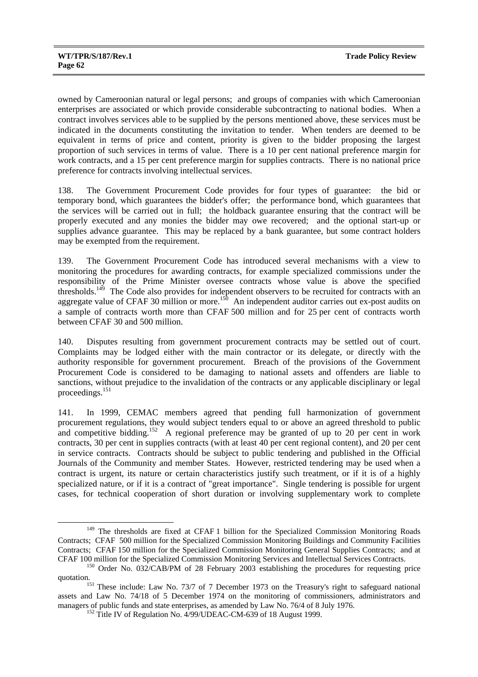owned by Cameroonian natural or legal persons; and groups of companies with which Cameroonian enterprises are associated or which provide considerable subcontracting to national bodies. When a contract involves services able to be supplied by the persons mentioned above, these services must be indicated in the documents constituting the invitation to tender. When tenders are deemed to be equivalent in terms of price and content, priority is given to the bidder proposing the largest proportion of such services in terms of value. There is a 10 per cent national preference margin for work contracts, and a 15 per cent preference margin for supplies contracts. There is no national price preference for contracts involving intellectual services.

138. The Government Procurement Code provides for four types of guarantee: the bid or temporary bond, which guarantees the bidder's offer; the performance bond, which guarantees that the services will be carried out in full; the holdback guarantee ensuring that the contract will be properly executed and any monies the bidder may owe recovered; and the optional start-up or supplies advance guarantee. This may be replaced by a bank guarantee, but some contract holders may be exempted from the requirement.

139. The Government Procurement Code has introduced several mechanisms with a view to monitoring the procedures for awarding contracts, for example specialized commissions under the responsibility of the Prime Minister oversee contracts whose value is above the specified thresholds.<sup>149</sup> The Code also provides for independent observers to be recruited for contracts with an aggregate value of CFAF 30 million or more.<sup>150</sup> An independent auditor carries out ex-post audits on a sample of contracts worth more than CFAF 500 million and for 25 per cent of contracts worth between CFAF 30 and 500 million.

140. Disputes resulting from government procurement contracts may be settled out of court. Complaints may be lodged either with the main contractor or its delegate, or directly with the authority responsible for government procurement. Breach of the provisions of the Government Procurement Code is considered to be damaging to national assets and offenders are liable to sanctions, without prejudice to the invalidation of the contracts or any applicable disciplinary or legal proceedings.<sup>151</sup>

141. In 1999, CEMAC members agreed that pending full harmonization of government procurement regulations, they would subject tenders equal to or above an agreed threshold to public and competitive bidding.<sup>152</sup> A regional preference may be granted of up to 20 per cent in work contracts, 30 per cent in supplies contracts (with at least 40 per cent regional content), and 20 per cent in service contracts. Contracts should be subject to public tendering and published in the Official Journals of the Community and member States. However, restricted tendering may be used when a contract is urgent, its nature or certain characteristics justify such treatment, or if it is of a highly specialized nature, or if it is a contract of "great importance". Single tendering is possible for urgent cases, for technical cooperation of short duration or involving supplementary work to complete

<sup>&</sup>lt;sup>149</sup> The thresholds are fixed at CFAF 1 billion for the Specialized Commission Monitoring Roads Contracts; CFAF 500 million for the Specialized Commission Monitoring Buildings and Community Facilities Contracts; CFAF 150 million for the Specialized Commission Monitoring General Supplies Contracts; and at

CFAF 100 million for the Specialized Commission Monitoring Services and Intellectual Services Contracts. 150 Order No. 032/CAB/PM of 28 February 2003 establishing the procedures for requesting price quotation.<br><sup>151</sup> These include: Law No. 73/7 of 7 December 1973 on the Treasury's right to safeguard national

assets and Law No. 74/18 of 5 December 1974 on the monitoring of commissioners, administrators and managers of public funds and state enterprises, as amended by Law No. 76/4 of 8 July 1976.<br><sup>152</sup> Title IV of Regulation No. 4/99/UDEAC-CM-639 of 18 August 1999.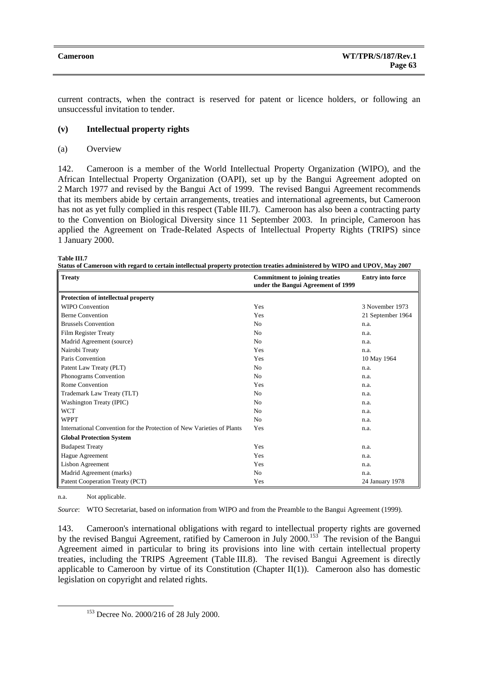current contracts, when the contract is reserved for patent or licence holders, or following an unsuccessful invitation to tender.

## **(v) Intellectual property rights**

#### (a) Overview

142. Cameroon is a member of the World Intellectual Property Organization (WIPO), and the African Intellectual Property Organization (OAPI), set up by the Bangui Agreement adopted on 2 March 1977 and revised by the Bangui Act of 1999. The revised Bangui Agreement recommends that its members abide by certain arrangements, treaties and international agreements, but Cameroon has not as yet fully complied in this respect (Table III.7). Cameroon has also been a contracting party to the Convention on Biological Diversity since 11 September 2003. In principle, Cameroon has applied the Agreement on Trade-Related Aspects of Intellectual Property Rights (TRIPS) since 1 January 2000.

| Table III. |  |  |  |  |
|------------|--|--|--|--|
|------------|--|--|--|--|

| Status of Cameroon with regard to certain intellectual property protection treaties administered by WIPO and UPOV, May 2007 |
|-----------------------------------------------------------------------------------------------------------------------------|
|-----------------------------------------------------------------------------------------------------------------------------|

| <b>Treaty</b>                                                          | <b>Commitment to joining treaties</b><br>under the Bangui Agreement of 1999 | <b>Entry into force</b> |
|------------------------------------------------------------------------|-----------------------------------------------------------------------------|-------------------------|
| <b>Protection of intellectual property</b>                             |                                                                             |                         |
| <b>WIPO Convention</b>                                                 | Yes                                                                         | 3 November 1973         |
| <b>Berne Convention</b>                                                | Yes                                                                         | 21 September 1964       |
| <b>Brussels Convention</b>                                             | No                                                                          | n.a.                    |
| <b>Film Register Treaty</b>                                            | N <sub>0</sub>                                                              | n.a.                    |
| Madrid Agreement (source)                                              | N <sub>0</sub>                                                              | n.a.                    |
| Nairobi Treaty                                                         | Yes                                                                         | n.a.                    |
| Paris Convention                                                       | Yes                                                                         | 10 May 1964             |
| Patent Law Treaty (PLT)                                                | No                                                                          | n.a.                    |
| Phonograms Convention                                                  | N <sub>0</sub>                                                              | n.a.                    |
| Rome Convention                                                        | Yes                                                                         | n.a.                    |
| Trademark Law Treaty (TLT)                                             | No                                                                          | n.a.                    |
| Washington Treaty (IPIC)                                               | N <sub>0</sub>                                                              | n.a.                    |
| <b>WCT</b>                                                             | No                                                                          | n.a.                    |
| <b>WPPT</b>                                                            | N <sub>0</sub>                                                              | n.a.                    |
| International Convention for the Protection of New Varieties of Plants | Yes                                                                         | n.a.                    |
| <b>Global Protection System</b>                                        |                                                                             |                         |
| <b>Budapest Treaty</b>                                                 | Yes                                                                         | n.a.                    |
| Hague Agreement                                                        | Yes                                                                         | n.a.                    |
| Lisbon Agreement                                                       | Yes                                                                         | n.a.                    |
| Madrid Agreement (marks)                                               | No                                                                          | n.a.                    |
| Patent Cooperation Treaty (PCT)                                        | Yes                                                                         | 24 January 1978         |

n.a. Not applicable.

*Source*: WTO Secretariat, based on information from WIPO and from the Preamble to the Bangui Agreement (1999).

143. Cameroon's international obligations with regard to intellectual property rights are governed by the revised Bangui Agreement, ratified by Cameroon in July 2000.<sup>153</sup> The revision of the Bangui Agreement aimed in particular to bring its provisions into line with certain intellectual property treaties, including the TRIPS Agreement (Table III.8). The revised Bangui Agreement is directly applicable to Cameroon by virtue of its Constitution (Chapter  $II(1)$ ). Cameroon also has domestic legislation on copyright and related rights.

 <sup>153</sup> Decree No. 2000/216 of 28 July 2000.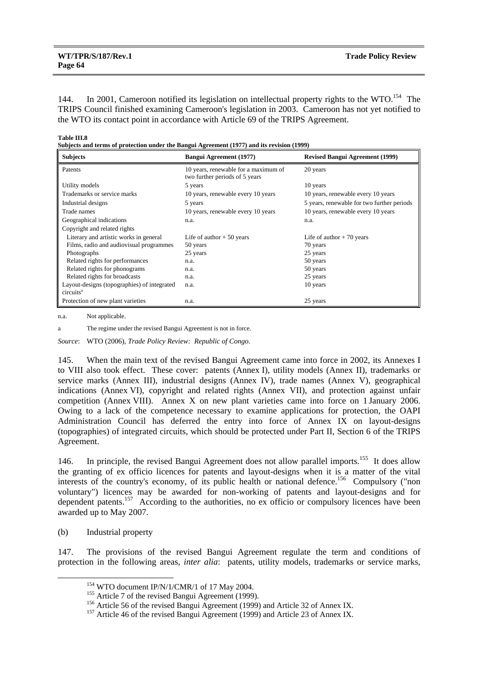144. In 2001, Cameroon notified its legislation on intellectual property rights to the WTO.<sup>154</sup> The TRIPS Council finished examining Cameroon's legislation in 2003. Cameroon has not yet notified to the WTO its contact point in accordance with Article 69 of the TRIPS Agreement.

**Table III.8** 

**Subjects and terms of protection under the Bangui Agreement (1977) and its revision (1999)** 

| <b>Subjects</b>                             | <b>Bangui Agreement (1977)</b>                                         | <b>Revised Bangui Agreement (1999)</b>     |
|---------------------------------------------|------------------------------------------------------------------------|--------------------------------------------|
| Patents                                     | 10 years, renewable for a maximum of<br>two further periods of 5 years | 20 years                                   |
| Utility models                              | 5 years                                                                | 10 years                                   |
| Trademarks or service marks                 | 10 years, renewable every 10 years                                     | 10 years, renewable every 10 years         |
| Industrial designs                          | 5 years                                                                | 5 years, renewable for two further periods |
| Trade names                                 | 10 years, renewable every 10 years                                     | 10 years, renewable every 10 years         |
| Geographical indications                    | n.a.                                                                   | n.a.                                       |
| Copyright and related rights                |                                                                        |                                            |
| Literary and artistic works in general      | Life of author $+50$ years                                             | Life of author $+70$ years                 |
| Films, radio and audiovisual programmes     | 50 years                                                               | 70 years                                   |
| Photographs                                 | 25 years                                                               | 25 years                                   |
| Related rights for performances             | n.a.                                                                   | 50 years                                   |
| Related rights for phonograms               | n.a.                                                                   | 50 years                                   |
| Related rights for broadcasts               | n.a.                                                                   | 25 years                                   |
| Layout-designs (topographies) of integrated | n.a.                                                                   | 10 years                                   |
| circuits <sup>a</sup>                       |                                                                        |                                            |
| Protection of new plant varieties           | n.a.                                                                   | 25 years                                   |

n.a. Not applicable.

a The regime under the revised Bangui Agreement is not in force.

*Source*: WTO (2006), *Trade Policy Review: Republic of Congo*.

145. When the main text of the revised Bangui Agreement came into force in 2002, its Annexes I to VIII also took effect. These cover: patents (Annex I), utility models (Annex II), trademarks or service marks (Annex III), industrial designs (Annex IV), trade names (Annex V), geographical indications (Annex VI), copyright and related rights (Annex VII), and protection against unfair competition (Annex VIII). Annex X on new plant varieties came into force on 1 January 2006. Owing to a lack of the competence necessary to examine applications for protection, the OAPI Administration Council has deferred the entry into force of Annex IX on layout-designs (topographies) of integrated circuits, which should be protected under Part II, Section 6 of the TRIPS Agreement.

146. In principle, the revised Bangui Agreement does not allow parallel imports.<sup>155</sup> It does allow the granting of ex officio licences for patents and layout-designs when it is a matter of the vital interests of the country's economy, of its public health or national defence.<sup>156</sup> Compulsory ("non voluntary") licences may be awarded for non-working of patents and layout-designs and for dependent patents.<sup>157</sup> According to the authorities, no ex officio or compulsory licences have been awarded up to May 2007.

(b) Industrial property

147. The provisions of the revised Bangui Agreement regulate the term and conditions of protection in the following areas, *inter alia*: patents, utility models, trademarks or service marks,

<sup>&</sup>lt;sup>154</sup> WTO document IP/N/1/CMR/1 of 17 May 2004.<br><sup>155</sup> Article 7 of the revised Bangui Agreement (1999).<br><sup>156</sup> Article 56 of the revised Bangui Agreement (1999) and Article 32 of Annex IX.<br><sup>157</sup> Article 46 of the revised B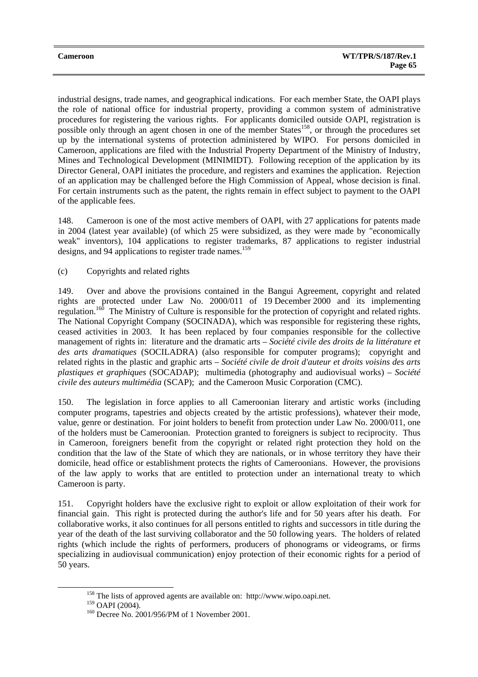industrial designs, trade names, and geographical indications. For each member State, the OAPI plays the role of national office for industrial property, providing a common system of administrative procedures for registering the various rights. For applicants domiciled outside OAPI, registration is possible only through an agent chosen in one of the member States<sup>158</sup>, or through the procedures set up by the international systems of protection administered by WIPO. For persons domiciled in Cameroon, applications are filed with the Industrial Property Department of the Ministry of Industry, Mines and Technological Development (MINIMIDT). Following reception of the application by its Director General, OAPI initiates the procedure, and registers and examines the application. Rejection of an application may be challenged before the High Commission of Appeal, whose decision is final. For certain instruments such as the patent, the rights remain in effect subject to payment to the OAPI of the applicable fees.

148. Cameroon is one of the most active members of OAPI, with 27 applications for patents made in 2004 (latest year available) (of which 25 were subsidized, as they were made by "economically weak" inventors), 104 applications to register trademarks, 87 applications to register industrial designs, and 94 applications to register trade names.<sup>159</sup>

(c) Copyrights and related rights

149. Over and above the provisions contained in the Bangui Agreement, copyright and related rights are protected under Law No. 2000/011 of 19 December 2000 and its implementing regulation.<sup>160</sup> The Ministry of Culture is responsible for the protection of copyright and related rights. The National Copyright Company (SOCINADA), which was responsible for registering these rights, ceased activities in 2003. It has been replaced by four companies responsible for the collective management of rights in: literature and the dramatic arts – *Société civile des droits de la littérature et des arts dramatiques* (SOCILADRA) (also responsible for computer programs); copyright and related rights in the plastic and graphic arts – *Société civile de droit d'auteur et droits voisins des arts plastiques et graphiques* (SOCADAP); multimedia (photography and audiovisual works) – *Société civile des auteurs multimédia* (SCAP); and the Cameroon Music Corporation (CMC).

150. The legislation in force applies to all Cameroonian literary and artistic works (including computer programs, tapestries and objects created by the artistic professions), whatever their mode, value, genre or destination. For joint holders to benefit from protection under Law No. 2000/011, one of the holders must be Cameroonian. Protection granted to foreigners is subject to reciprocity. Thus in Cameroon, foreigners benefit from the copyright or related right protection they hold on the condition that the law of the State of which they are nationals, or in whose territory they have their domicile, head office or establishment protects the rights of Cameroonians. However, the provisions of the law apply to works that are entitled to protection under an international treaty to which Cameroon is party.

151. Copyright holders have the exclusive right to exploit or allow exploitation of their work for financial gain. This right is protected during the author's life and for 50 years after his death. For collaborative works, it also continues for all persons entitled to rights and successors in title during the year of the death of the last surviving collaborator and the 50 following years. The holders of related rights (which include the rights of performers, producers of phonograms or videograms, or firms specializing in audiovisual communication) enjoy protection of their economic rights for a period of 50 years.

<sup>&</sup>lt;sup>158</sup> The lists of approved agents are available on: http://www.wipo.oapi.net.<br><sup>159</sup> OAPI (2004).

 $160$  Decree No. 2001/956/PM of 1 November 2001.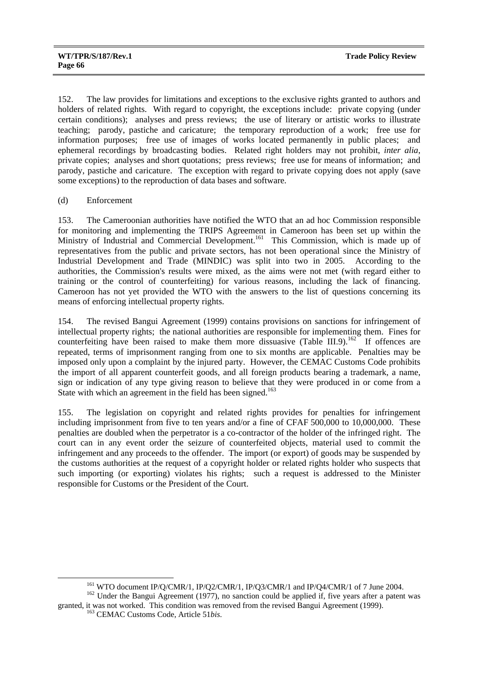152. The law provides for limitations and exceptions to the exclusive rights granted to authors and holders of related rights. With regard to copyright, the exceptions include: private copying (under certain conditions); analyses and press reviews; the use of literary or artistic works to illustrate teaching; parody, pastiche and caricature; the temporary reproduction of a work; free use for information purposes; free use of images of works located permanently in public places; and ephemeral recordings by broadcasting bodies. Related right holders may not prohibit, *inter alia*, private copies; analyses and short quotations; press reviews; free use for means of information; and parody, pastiche and caricature. The exception with regard to private copying does not apply (save some exceptions) to the reproduction of data bases and software.

## (d) Enforcement

153. The Cameroonian authorities have notified the WTO that an ad hoc Commission responsible for monitoring and implementing the TRIPS Agreement in Cameroon has been set up within the Ministry of Industrial and Commercial Development.<sup>161</sup> This Commission, which is made up of representatives from the public and private sectors, has not been operational since the Ministry of Industrial Development and Trade (MINDIC) was split into two in 2005. According to the authorities, the Commission's results were mixed, as the aims were not met (with regard either to training or the control of counterfeiting) for various reasons, including the lack of financing. Cameroon has not yet provided the WTO with the answers to the list of questions concerning its means of enforcing intellectual property rights.

154. The revised Bangui Agreement (1999) contains provisions on sanctions for infringement of intellectual property rights; the national authorities are responsible for implementing them. Fines for counterfeiting have been raised to make them more dissuasive (Table III.9).<sup>162</sup> If offences are repeated, terms of imprisonment ranging from one to six months are applicable. Penalties may be imposed only upon a complaint by the injured party. However, the CEMAC Customs Code prohibits the import of all apparent counterfeit goods, and all foreign products bearing a trademark, a name, sign or indication of any type giving reason to believe that they were produced in or come from a State with which an agreement in the field has been signed.<sup>163</sup>

155. The legislation on copyright and related rights provides for penalties for infringement including imprisonment from five to ten years and/or a fine of CFAF 500,000 to 10,000,000. These penalties are doubled when the perpetrator is a co-contractor of the holder of the infringed right. The court can in any event order the seizure of counterfeited objects, material used to commit the infringement and any proceeds to the offender. The import (or export) of goods may be suspended by the customs authorities at the request of a copyright holder or related rights holder who suspects that such importing (or exporting) violates his rights; such a request is addressed to the Minister responsible for Customs or the President of the Court.

<sup>&</sup>lt;sup>161</sup> WTO document IP/Q/CMR/1, IP/Q2/CMR/1, IP/Q3/CMR/1 and IP/Q4/CMR/1 of 7 June 2004.<br><sup>162</sup> Under the Bangui Agreement (1977), no sanction could be applied if, five years after a patent was

granted, it was not worked. This condition was removed from the revised Bangui Agreement (1999). 163 CEMAC Customs Code, Article 51*bis*.